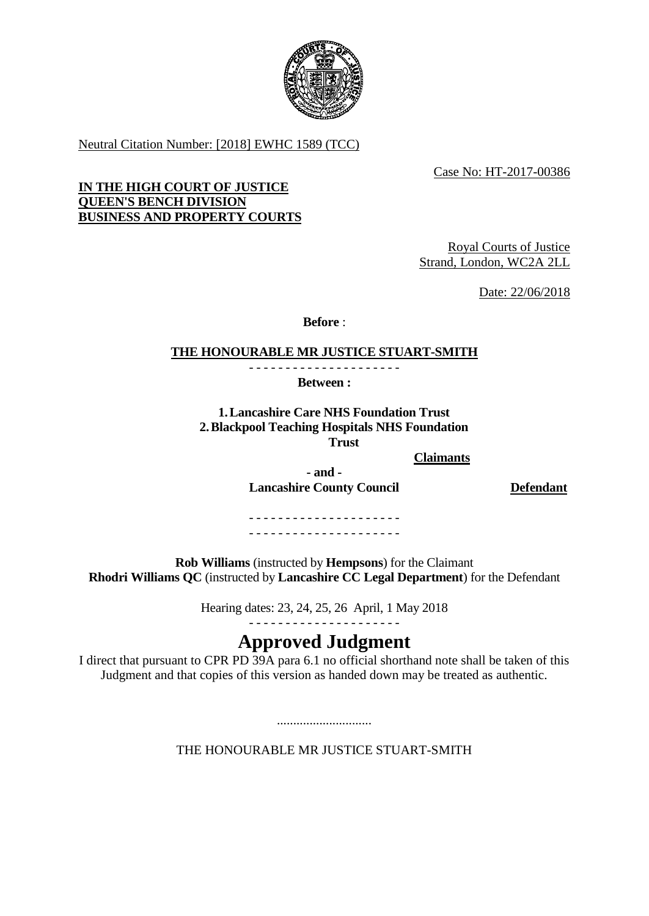

Neutral Citation Number: [2018] EWHC 1589 (TCC)

Case No: HT-2017-00386

## **IN THE HIGH COURT OF JUSTICE QUEEN'S BENCH DIVISION BUSINESS AND PROPERTY COURTS**

Royal Courts of Justice Strand, London, WC2A 2LL

Date: 22/06/2018

**Before** :

## **THE HONOURABLE MR JUSTICE STUART-SMITH**

- - - - - - - - - - - - - - - - - - - - - **Between :**

**1.Lancashire Care NHS Foundation Trust 2.Blackpool Teaching Hospitals NHS Foundation Trust** 

**Claimants**

**Lancashire County Council Defendant**

**- and -**

- - - - - - - - - - - - - - - - - - - - - - - - - - - - - - - - - - - - - - - - - -

**Rob Williams** (instructed by **Hempsons**) for the Claimant **Rhodri Williams QC** (instructed by **Lancashire CC Legal Department**) for the Defendant

Hearing dates: 23, 24, 25, 26 April, 1 May 2018

## - - - - - - - - - - - - - - - - - - - - -

# **Approved Judgment**

I direct that pursuant to CPR PD 39A para 6.1 no official shorthand note shall be taken of this Judgment and that copies of this version as handed down may be treated as authentic.

THE HONOURABLE MR JUSTICE STUART-SMITH

.............................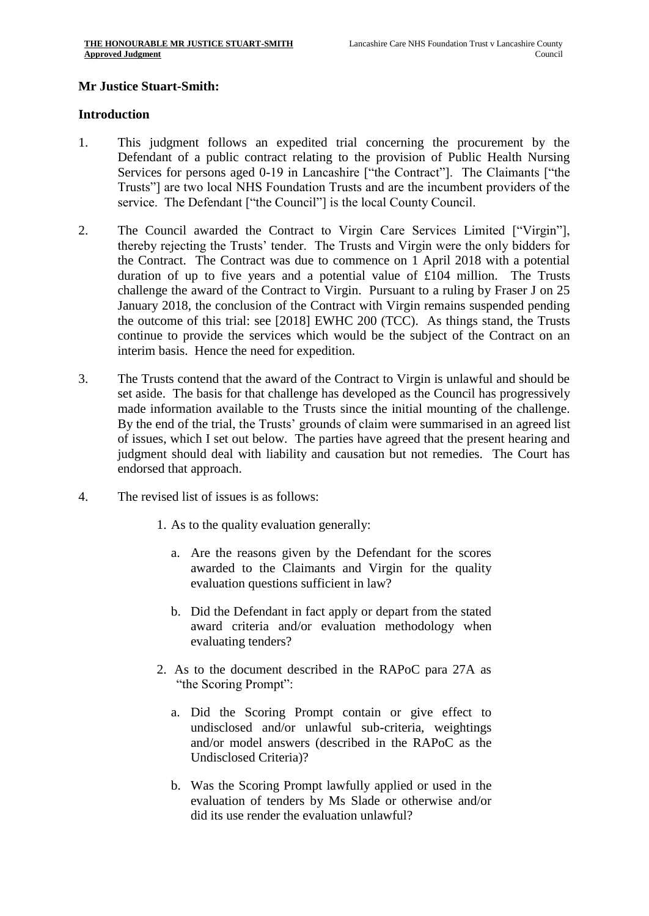## **Mr Justice Stuart-Smith:**

#### **Introduction**

- 1. This judgment follows an expedited trial concerning the procurement by the Defendant of a public contract relating to the provision of Public Health Nursing Services for persons aged 0-19 in Lancashire ["the Contract"]. The Claimants ["the Trusts"] are two local NHS Foundation Trusts and are the incumbent providers of the service. The Defendant ["the Council"] is the local County Council.
- 2. The Council awarded the Contract to Virgin Care Services Limited ["Virgin"], thereby rejecting the Trusts' tender. The Trusts and Virgin were the only bidders for the Contract. The Contract was due to commence on 1 April 2018 with a potential duration of up to five years and a potential value of £104 million. The Trusts challenge the award of the Contract to Virgin. Pursuant to a ruling by Fraser J on 25 January 2018, the conclusion of the Contract with Virgin remains suspended pending the outcome of this trial: see [2018] EWHC 200 (TCC). As things stand, the Trusts continue to provide the services which would be the subject of the Contract on an interim basis. Hence the need for expedition.
- 3. The Trusts contend that the award of the Contract to Virgin is unlawful and should be set aside. The basis for that challenge has developed as the Council has progressively made information available to the Trusts since the initial mounting of the challenge. By the end of the trial, the Trusts' grounds of claim were summarised in an agreed list of issues, which I set out below. The parties have agreed that the present hearing and judgment should deal with liability and causation but not remedies. The Court has endorsed that approach.
- 4. The revised list of issues is as follows:
	- 1. As to the quality evaluation generally:
		- a. Are the reasons given by the Defendant for the scores awarded to the Claimants and Virgin for the quality evaluation questions sufficient in law?
		- b. Did the Defendant in fact apply or depart from the stated award criteria and/or evaluation methodology when evaluating tenders?
	- 2. As to the document described in the RAPoC para 27A as "the Scoring Prompt":
		- a. Did the Scoring Prompt contain or give effect to undisclosed and/or unlawful sub-criteria, weightings and/or model answers (described in the RAPoC as the Undisclosed Criteria)?
		- b. Was the Scoring Prompt lawfully applied or used in the evaluation of tenders by Ms Slade or otherwise and/or did its use render the evaluation unlawful?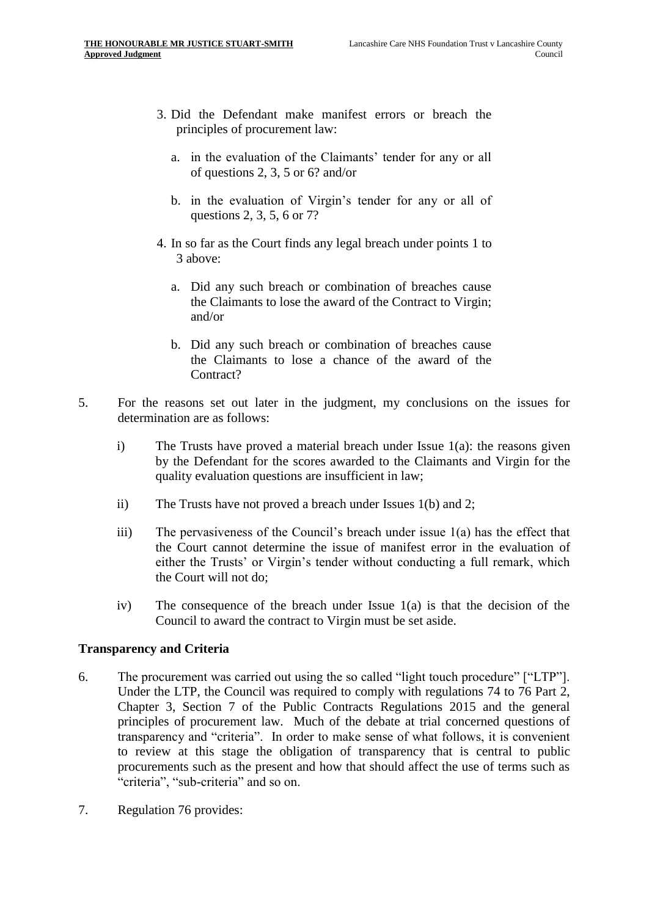- 3. Did the Defendant make manifest errors or breach the principles of procurement law:
	- a. in the evaluation of the Claimants' tender for any or all of questions 2, 3, 5 or 6? and/or
	- b. in the evaluation of Virgin's tender for any or all of questions 2, 3, 5, 6 or 7?
- 4. In so far as the Court finds any legal breach under points 1 to 3 above:
	- a. Did any such breach or combination of breaches cause the Claimants to lose the award of the Contract to Virgin; and/or
	- b. Did any such breach or combination of breaches cause the Claimants to lose a chance of the award of the Contract?
- 5. For the reasons set out later in the judgment, my conclusions on the issues for determination are as follows:
	- i) The Trusts have proved a material breach under Issue 1(a): the reasons given by the Defendant for the scores awarded to the Claimants and Virgin for the quality evaluation questions are insufficient in law;
	- ii) The Trusts have not proved a breach under Issues 1(b) and 2;
	- iii) The pervasiveness of the Council's breach under issue 1(a) has the effect that the Court cannot determine the issue of manifest error in the evaluation of either the Trusts' or Virgin's tender without conducting a full remark, which the Court will not do;
	- iv) The consequence of the breach under Issue 1(a) is that the decision of the Council to award the contract to Virgin must be set aside.

## **Transparency and Criteria**

- 6. The procurement was carried out using the so called "light touch procedure" ["LTP"]. Under the LTP, the Council was required to comply with regulations 74 to 76 Part 2, Chapter 3, Section 7 of the Public Contracts Regulations 2015 and the general principles of procurement law. Much of the debate at trial concerned questions of transparency and "criteria". In order to make sense of what follows, it is convenient to review at this stage the obligation of transparency that is central to public procurements such as the present and how that should affect the use of terms such as "criteria", "sub-criteria" and so on.
- 7. Regulation 76 provides: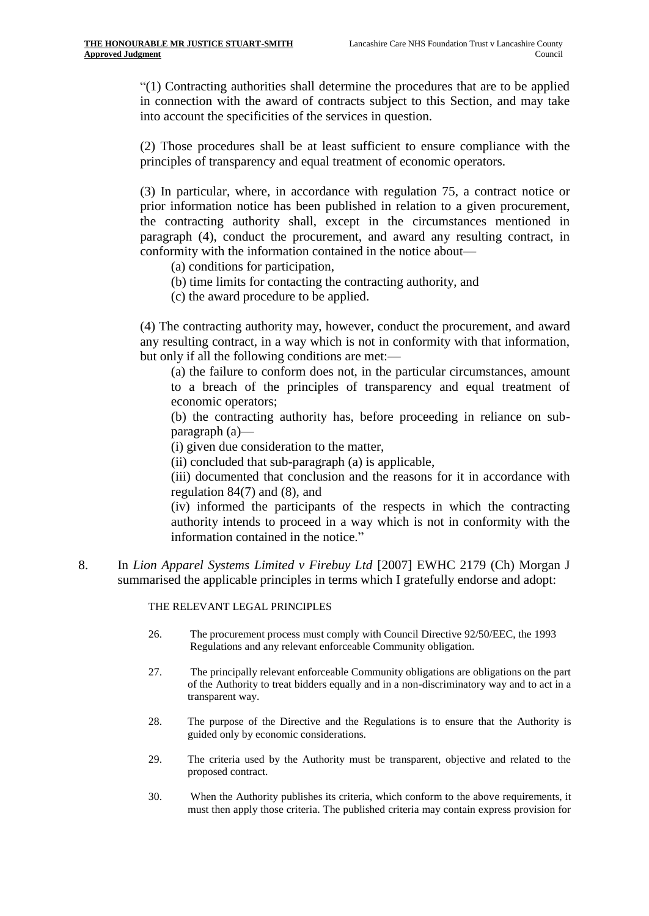"(1) Contracting authorities shall determine the procedures that are to be applied in connection with the award of contracts subject to this Section, and may take into account the specificities of the services in question.

(2) Those procedures shall be at least sufficient to ensure compliance with the principles of transparency and equal treatment of economic operators.

(3) In particular, where, in accordance with [regulation 75,](https://login.westlaw.co.uk/maf/wluk/app/document?src=doc&linktype=ref&context=30&crumb-action=replace&docguid=I93A1E722B27011E48CA99B556A4D6599) a contract notice or prior information notice has been published in relation to a given procurement, the contracting authority shall, except in the circumstances mentioned in paragraph (4), conduct the procurement, and award any resulting contract, in conformity with the information contained in the notice about—

(a) conditions for participation,

- (b) time limits for contacting the contracting authority, and
- (c) the award procedure to be applied.

(4) The contracting authority may, however, conduct the procurement, and award any resulting contract, in a way which is not in conformity with that information, but only if all the following conditions are met:—

(a) the failure to conform does not, in the particular circumstances, amount to a breach of the principles of transparency and equal treatment of economic operators;

(b) the contracting authority has, before proceeding in reliance on subparagraph (a)—

(i) given due consideration to the matter,

(ii) concluded that sub-paragraph (a) is applicable,

(iii) documented that conclusion and the reasons for it in accordance with [regulation 84\(7\) and \(8\),](https://login.westlaw.co.uk/maf/wluk/app/document?src=doc&linktype=ref&context=30&crumb-action=replace&docguid=I93A4A642B27011E48CA99B556A4D6599) and

(iv) informed the participants of the respects in which the contracting authority intends to proceed in a way which is not in conformity with the information contained in the notice."

<span id="page-3-0"></span>8. In *Lion Apparel Systems Limited v Firebuy Ltd* [2007] EWHC 2179 (Ch) Morgan J summarised the applicable principles in terms which I gratefully endorse and adopt:

#### THE RELEVANT LEGAL PRINCIPLES

- 26. The procurement process must comply with Council Directive 92/50/EEC, the 1993 Regulations and any relevant enforceable Community obligation.
- 27. The principally relevant enforceable Community obligations are obligations on the part of the Authority to treat bidders equally and in a non-discriminatory way and to act in a transparent way.
- 28. The purpose of the Directive and the Regulations is to ensure that the Authority is guided only by economic considerations.
- 29. The criteria used by the Authority must be transparent, objective and related to the proposed contract.
- 30. When the Authority publishes its criteria, which conform to the above requirements, it must then apply those criteria. The published criteria may contain express provision for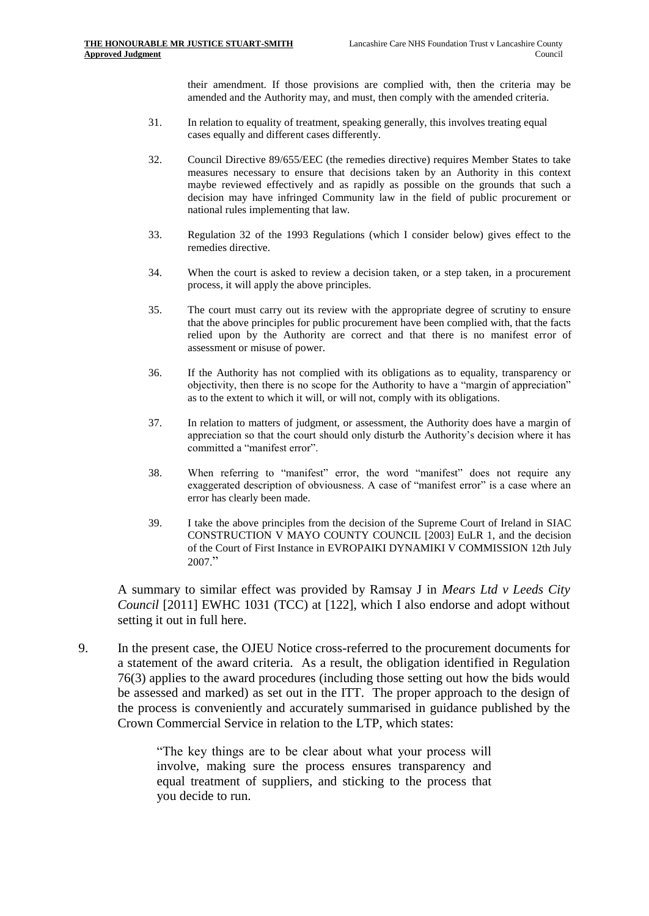their amendment. If those provisions are complied with, then the criteria may be amended and the Authority may, and must, then comply with the amended criteria.

- 31. In relation to equality of treatment, speaking generally, this involves treating equal cases equally and different cases differently.
- 32. Council Directive 89/655/EEC (the remedies directive) requires Member States to take measures necessary to ensure that decisions taken by an Authority in this context maybe reviewed effectively and as rapidly as possible on the grounds that such a decision may have infringed Community law in the field of public procurement or national rules implementing that law.
- 33. Regulation 32 of the 1993 Regulations (which I consider below) gives effect to the remedies directive.
- 34. When the court is asked to review a decision taken, or a step taken, in a procurement process, it will apply the above principles.
- 35. The court must carry out its review with the appropriate degree of scrutiny to ensure that the above principles for public procurement have been complied with, that the facts relied upon by the Authority are correct and that there is no manifest error of assessment or misuse of power.
- 36. If the Authority has not complied with its obligations as to equality, transparency or objectivity, then there is no scope for the Authority to have a "margin of appreciation" as to the extent to which it will, or will not, comply with its obligations.
- 37. In relation to matters of judgment, or assessment, the Authority does have a margin of appreciation so that the court should only disturb the Authority's decision where it has committed a "manifest error".
- 38. When referring to "manifest" error, the word "manifest" does not require any exaggerated description of obviousness. A case of "manifest error" is a case where an error has clearly been made.
- 39. I take the above principles from the decision of the Supreme Court of Ireland in SIAC CONSTRUCTION V MAYO COUNTY COUNCIL [2003] EuLR 1, and the decision of the Court of First Instance in EVROPAIKI DYNAMIKI V COMMISSION 12th July 2007."

A summary to similar effect was provided by Ramsay J in *Mears Ltd v Leeds City Council* [2011] EWHC 1031 (TCC) at [122], which I also endorse and adopt without setting it out in full here.

9. In the present case, the OJEU Notice cross-referred to the procurement documents for a statement of the award criteria. As a result, the obligation identified in Regulation 76(3) applies to the award procedures (including those setting out how the bids would be assessed and marked) as set out in the ITT. The proper approach to the design of the process is conveniently and accurately summarised in guidance published by the Crown Commercial Service in relation to the LTP, which states:

> "The key things are to be clear about what your process will involve, making sure the process ensures transparency and equal treatment of suppliers, and sticking to the process that you decide to run.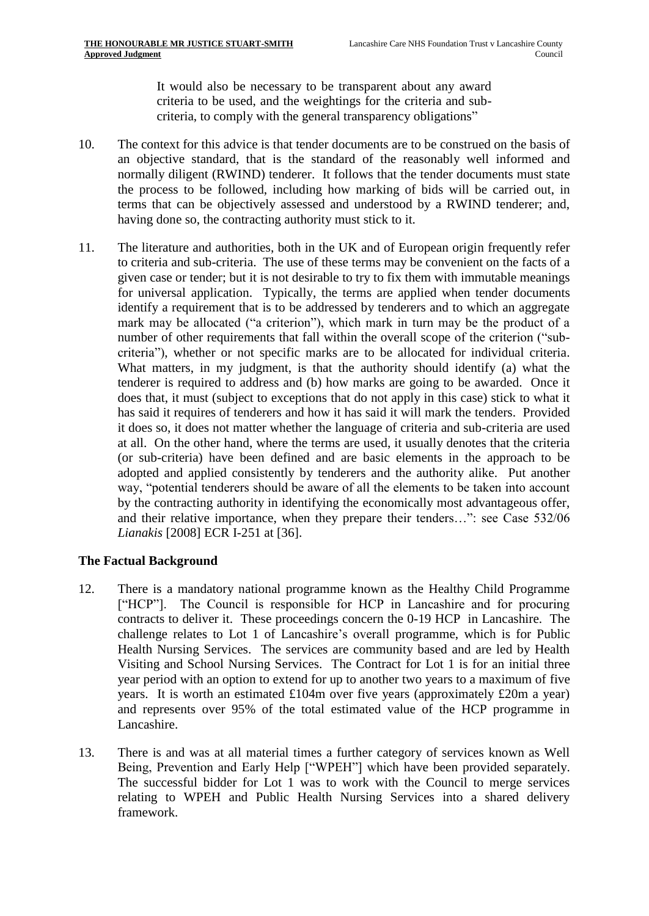It would also be necessary to be transparent about any award criteria to be used, and the weightings for the criteria and subcriteria, to comply with the general transparency obligations"

- 10. The context for this advice is that tender documents are to be construed on the basis of an objective standard, that is the standard of the reasonably well informed and normally diligent (RWIND) tenderer. It follows that the tender documents must state the process to be followed, including how marking of bids will be carried out, in terms that can be objectively assessed and understood by a RWIND tenderer; and, having done so, the contracting authority must stick to it.
- 11. The literature and authorities, both in the UK and of European origin frequently refer to criteria and sub-criteria. The use of these terms may be convenient on the facts of a given case or tender; but it is not desirable to try to fix them with immutable meanings for universal application. Typically, the terms are applied when tender documents identify a requirement that is to be addressed by tenderers and to which an aggregate mark may be allocated ("a criterion"), which mark in turn may be the product of a number of other requirements that fall within the overall scope of the criterion ("subcriteria"), whether or not specific marks are to be allocated for individual criteria. What matters, in my judgment, is that the authority should identify (a) what the tenderer is required to address and (b) how marks are going to be awarded. Once it does that, it must (subject to exceptions that do not apply in this case) stick to what it has said it requires of tenderers and how it has said it will mark the tenders. Provided it does so, it does not matter whether the language of criteria and sub-criteria are used at all. On the other hand, where the terms are used, it usually denotes that the criteria (or sub-criteria) have been defined and are basic elements in the approach to be adopted and applied consistently by tenderers and the authority alike. Put another way, "potential tenderers should be aware of all the elements to be taken into account by the contracting authority in identifying the economically most advantageous offer, and their relative importance, when they prepare their tenders…": see Case 532/06 *Lianakis* [2008] ECR I-251 at [36].

## **The Factual Background**

- 12. There is a mandatory national programme known as the Healthy Child Programme ["HCP"]. The Council is responsible for HCP in Lancashire and for procuring contracts to deliver it. These proceedings concern the 0-19 HCP in Lancashire. The challenge relates to Lot 1 of Lancashire's overall programme, which is for Public Health Nursing Services. The services are community based and are led by Health Visiting and School Nursing Services. The Contract for Lot 1 is for an initial three year period with an option to extend for up to another two years to a maximum of five years. It is worth an estimated £104m over five years (approximately £20m a year) and represents over 95% of the total estimated value of the HCP programme in Lancashire.
- 13. There is and was at all material times a further category of services known as Well Being, Prevention and Early Help ["WPEH"] which have been provided separately. The successful bidder for Lot 1 was to work with the Council to merge services relating to WPEH and Public Health Nursing Services into a shared delivery framework.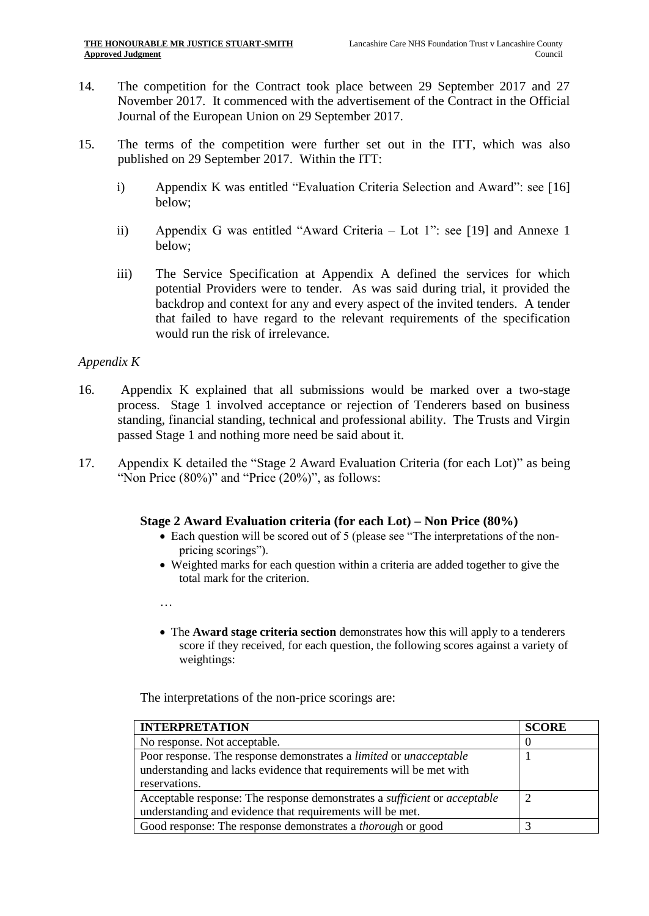- 14. The competition for the Contract took place between 29 September 2017 and 27 November 2017. It commenced with the advertisement of the Contract in the Official Journal of the European Union on 29 September 2017.
- 15. The terms of the competition were further set out in the ITT, which was also published on 29 September 2017. Within the ITT:
	- i) Appendix K was entitled "Evaluation Criteria Selection and Award": see [\[16\]](#page-6-0) below;
	- ii) Appendix G was entitled "Award Criteria Lot 1": see [\[19\]](#page-8-0) and Annexe 1 below;
	- iii) The Service Specification at Appendix A defined the services for which potential Providers were to tender. As was said during trial, it provided the backdrop and context for any and every aspect of the invited tenders. A tender that failed to have regard to the relevant requirements of the specification would run the risk of irrelevance.

## *Appendix K*

- <span id="page-6-0"></span>16. Appendix K explained that all submissions would be marked over a two-stage process. Stage 1 involved acceptance or rejection of Tenderers based on business standing, financial standing, technical and professional ability. The Trusts and Virgin passed Stage 1 and nothing more need be said about it.
- 17. Appendix K detailed the "Stage 2 Award Evaluation Criteria (for each Lot)" as being "Non Price  $(80\%)$ " and "Price  $(20\%)$ ", as follows:

## **Stage 2 Award Evaluation criteria (for each Lot) – Non Price (80%)**

- Each question will be scored out of 5 (please see "The interpretations of the nonpricing scorings").
- Weighted marks for each question within a criteria are added together to give the total mark for the criterion.
- …
- The **Award stage criteria section** demonstrates how this will apply to a tenderers score if they received, for each question, the following scores against a variety of weightings:

The interpretations of the non-price scorings are:

| <b>INTERPRETATION</b>                                                            | <b>SCORE</b> |
|----------------------------------------------------------------------------------|--------------|
| No response. Not acceptable.                                                     |              |
| Poor response. The response demonstrates a <i>limited</i> or <i>unacceptable</i> |              |
| understanding and lacks evidence that requirements will be met with              |              |
| reservations.                                                                    |              |
| Acceptable response: The response demonstrates a sufficient or acceptable        |              |
| understanding and evidence that requirements will be met.                        |              |
| Good response: The response demonstrates a <i>thorough</i> or good               |              |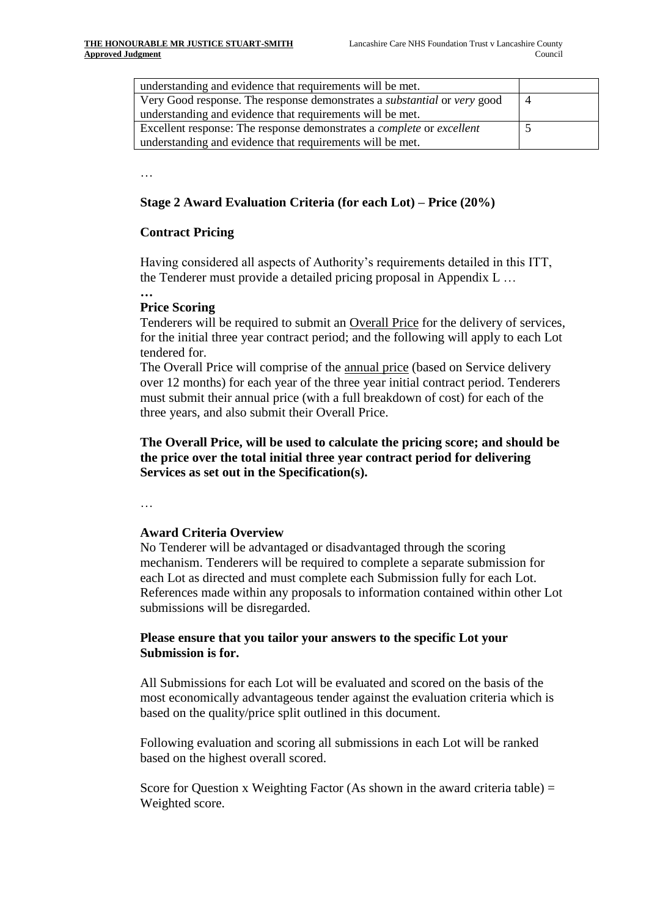| understanding and evidence that requirements will be met.                           |                |
|-------------------------------------------------------------------------------------|----------------|
| Very Good response. The response demonstrates a <i>substantial</i> or very good     | $\overline{4}$ |
| understanding and evidence that requirements will be met.                           |                |
| Excellent response: The response demonstrates a <i>complete</i> or <i>excellent</i> |                |
| understanding and evidence that requirements will be met.                           |                |

…

## **Stage 2 Award Evaluation Criteria (for each Lot) – Price (20%)**

## **Contract Pricing**

Having considered all aspects of Authority's requirements detailed in this ITT, the Tenderer must provide a detailed pricing proposal in Appendix L …

#### **… Price Scoring**

Tenderers will be required to submit an Overall Price for the delivery of services, for the initial three year contract period; and the following will apply to each Lot tendered for.

The Overall Price will comprise of the annual price (based on Service delivery over 12 months) for each year of the three year initial contract period. Tenderers must submit their annual price (with a full breakdown of cost) for each of the three years, and also submit their Overall Price.

## **The Overall Price, will be used to calculate the pricing score; and should be the price over the total initial three year contract period for delivering Services as set out in the Specification(s).**

…

#### **Award Criteria Overview**

No Tenderer will be advantaged or disadvantaged through the scoring mechanism. Tenderers will be required to complete a separate submission for each Lot as directed and must complete each Submission fully for each Lot. References made within any proposals to information contained within other Lot submissions will be disregarded.

## **Please ensure that you tailor your answers to the specific Lot your Submission is for.**

All Submissions for each Lot will be evaluated and scored on the basis of the most economically advantageous tender against the evaluation criteria which is based on the quality/price split outlined in this document.

Following evaluation and scoring all submissions in each Lot will be ranked based on the highest overall scored.

Score for Question x Weighting Factor (As shown in the award criteria table)  $=$ Weighted score.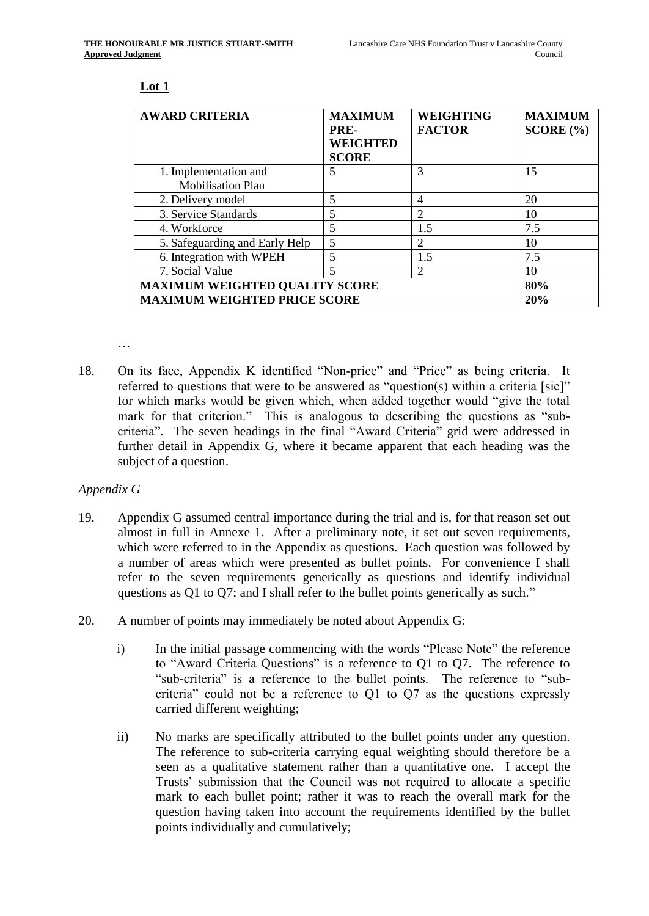### **Lot 1**

| <b>AWARD CRITERIA</b>                 | <b>MAXIMUM</b><br>PRE-<br>WEIGHTED<br><b>SCORE</b> | <b>WEIGHTING</b><br><b>FACTOR</b> | <b>MAXIMUM</b><br>SCORE (%) |
|---------------------------------------|----------------------------------------------------|-----------------------------------|-----------------------------|
| 1. Implementation and                 | 5                                                  | 3                                 | 15                          |
| <b>Mobilisation Plan</b>              |                                                    |                                   |                             |
| 2. Delivery model                     | 5                                                  | 4                                 | 20                          |
| 3. Service Standards                  | 5                                                  |                                   | 10                          |
| 4. Workforce                          | 5                                                  | 1.5                               | 7.5                         |
| 5. Safeguarding and Early Help        | 5                                                  | 2                                 | 10                          |
| 6. Integration with WPEH              | 5                                                  | 1.5                               | 7.5                         |
| 7. Social Value                       | 5                                                  | 2                                 | 10                          |
| <b>MAXIMUM WEIGHTED QUALITY SCORE</b> |                                                    |                                   | 80%                         |
| <b>MAXIMUM WEIGHTED PRICE SCORE</b>   |                                                    |                                   | 20%                         |

…

18. On its face, Appendix K identified "Non-price" and "Price" as being criteria. It referred to questions that were to be answered as "question(s) within a criteria [sic]" for which marks would be given which, when added together would "give the total mark for that criterion." This is analogous to describing the questions as "subcriteria". The seven headings in the final "Award Criteria" grid were addressed in further detail in Appendix G, where it became apparent that each heading was the subject of a question.

#### *Appendix G*

- <span id="page-8-0"></span>19. Appendix G assumed central importance during the trial and is, for that reason set out almost in full in Annexe 1. After a preliminary note, it set out seven requirements, which were referred to in the Appendix as questions. Each question was followed by a number of areas which were presented as bullet points. For convenience I shall refer to the seven requirements generically as questions and identify individual questions as Q1 to Q7; and I shall refer to the bullet points generically as such."
- 20. A number of points may immediately be noted about Appendix G:
	- i) In the initial passage commencing with the words "Please Note" the reference to "Award Criteria Questions" is a reference to Q1 to Q7. The reference to "sub-criteria" is a reference to the bullet points. The reference to "subcriteria" could not be a reference to Q1 to Q7 as the questions expressly carried different weighting;
	- ii) No marks are specifically attributed to the bullet points under any question. The reference to sub-criteria carrying equal weighting should therefore be a seen as a qualitative statement rather than a quantitative one. I accept the Trusts' submission that the Council was not required to allocate a specific mark to each bullet point; rather it was to reach the overall mark for the question having taken into account the requirements identified by the bullet points individually and cumulatively;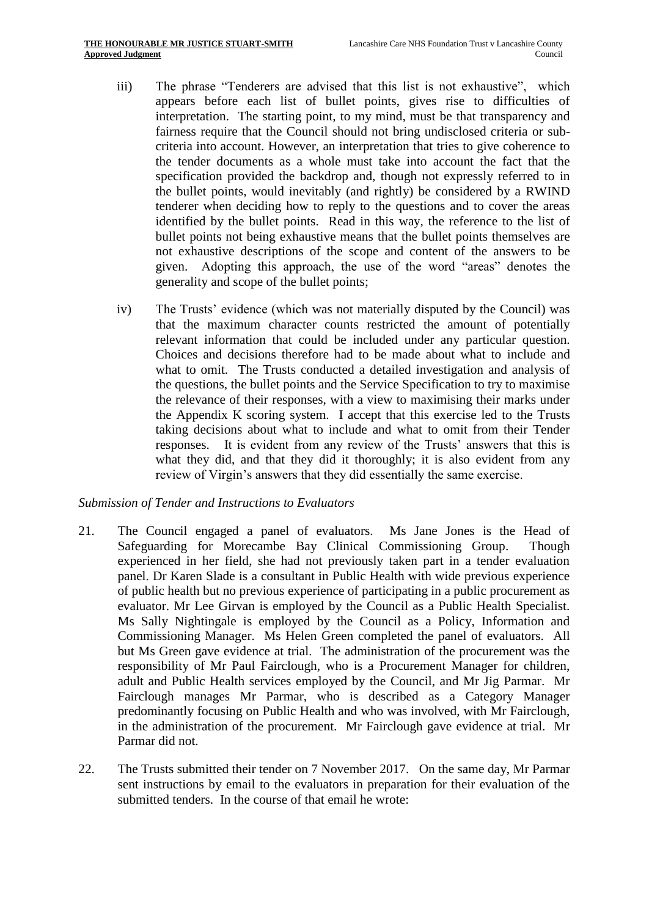- iii) The phrase "Tenderers are advised that this list is not exhaustive", which appears before each list of bullet points, gives rise to difficulties of interpretation. The starting point, to my mind, must be that transparency and fairness require that the Council should not bring undisclosed criteria or subcriteria into account. However, an interpretation that tries to give coherence to the tender documents as a whole must take into account the fact that the specification provided the backdrop and, though not expressly referred to in the bullet points, would inevitably (and rightly) be considered by a RWIND tenderer when deciding how to reply to the questions and to cover the areas identified by the bullet points. Read in this way, the reference to the list of bullet points not being exhaustive means that the bullet points themselves are not exhaustive descriptions of the scope and content of the answers to be given. Adopting this approach, the use of the word "areas" denotes the generality and scope of the bullet points;
- iv) The Trusts' evidence (which was not materially disputed by the Council) was that the maximum character counts restricted the amount of potentially relevant information that could be included under any particular question. Choices and decisions therefore had to be made about what to include and what to omit. The Trusts conducted a detailed investigation and analysis of the questions, the bullet points and the Service Specification to try to maximise the relevance of their responses, with a view to maximising their marks under the Appendix K scoring system. I accept that this exercise led to the Trusts taking decisions about what to include and what to omit from their Tender responses. It is evident from any review of the Trusts' answers that this is what they did, and that they did it thoroughly; it is also evident from any review of Virgin's answers that they did essentially the same exercise.

#### *Submission of Tender and Instructions to Evaluators*

- 21. The Council engaged a panel of evaluators. Ms Jane Jones is the Head of Safeguarding for Morecambe Bay Clinical Commissioning Group. Though experienced in her field, she had not previously taken part in a tender evaluation panel. Dr Karen Slade is a consultant in Public Health with wide previous experience of public health but no previous experience of participating in a public procurement as evaluator. Mr Lee Girvan is employed by the Council as a Public Health Specialist. Ms Sally Nightingale is employed by the Council as a Policy, Information and Commissioning Manager. Ms Helen Green completed the panel of evaluators. All but Ms Green gave evidence at trial. The administration of the procurement was the responsibility of Mr Paul Fairclough, who is a Procurement Manager for children, adult and Public Health services employed by the Council, and Mr Jig Parmar. Mr Fairclough manages Mr Parmar, who is described as a Category Manager predominantly focusing on Public Health and who was involved, with Mr Fairclough, in the administration of the procurement. Mr Fairclough gave evidence at trial. Mr Parmar did not.
- 22. The Trusts submitted their tender on 7 November 2017. On the same day, Mr Parmar sent instructions by email to the evaluators in preparation for their evaluation of the submitted tenders. In the course of that email he wrote: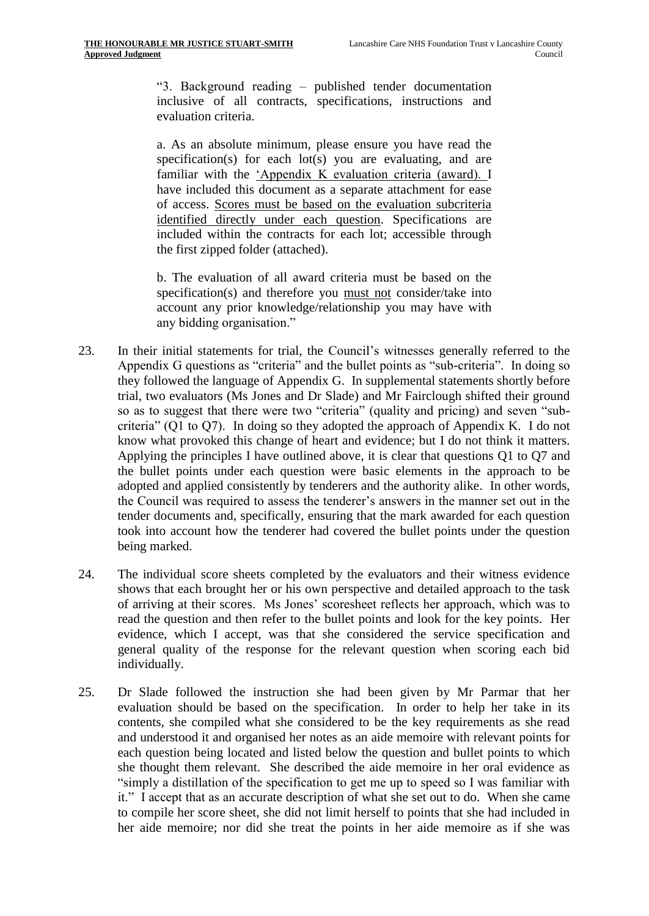"3. Background reading – published tender documentation inclusive of all contracts, specifications, instructions and evaluation criteria.

a. As an absolute minimum, please ensure you have read the specification(s) for each lot(s) you are evaluating, and are familiar with the 'Appendix K evaluation criteria (award). I have included this document as a separate attachment for ease of access. Scores must be based on the evaluation subcriteria identified directly under each question. Specifications are included within the contracts for each lot; accessible through the first zipped folder (attached).

b. The evaluation of all award criteria must be based on the specification(s) and therefore you must not consider/take into account any prior knowledge/relationship you may have with any bidding organisation."

- 23. In their initial statements for trial, the Council's witnesses generally referred to the Appendix G questions as "criteria" and the bullet points as "sub-criteria". In doing so they followed the language of Appendix G. In supplemental statements shortly before trial, two evaluators (Ms Jones and Dr Slade) and Mr Fairclough shifted their ground so as to suggest that there were two "criteria" (quality and pricing) and seven "subcriteria" (Q1 to Q7). In doing so they adopted the approach of Appendix K. I do not know what provoked this change of heart and evidence; but I do not think it matters. Applying the principles I have outlined above, it is clear that questions Q1 to Q7 and the bullet points under each question were basic elements in the approach to be adopted and applied consistently by tenderers and the authority alike. In other words, the Council was required to assess the tenderer's answers in the manner set out in the tender documents and, specifically, ensuring that the mark awarded for each question took into account how the tenderer had covered the bullet points under the question being marked.
- <span id="page-10-0"></span>24. The individual score sheets completed by the evaluators and their witness evidence shows that each brought her or his own perspective and detailed approach to the task of arriving at their scores. Ms Jones' scoresheet reflects her approach, which was to read the question and then refer to the bullet points and look for the key points. Her evidence, which I accept, was that she considered the service specification and general quality of the response for the relevant question when scoring each bid individually.
- 25. Dr Slade followed the instruction she had been given by Mr Parmar that her evaluation should be based on the specification. In order to help her take in its contents, she compiled what she considered to be the key requirements as she read and understood it and organised her notes as an aide memoire with relevant points for each question being located and listed below the question and bullet points to which she thought them relevant. She described the aide memoire in her oral evidence as "simply a distillation of the specification to get me up to speed so I was familiar with it." I accept that as an accurate description of what she set out to do. When she came to compile her score sheet, she did not limit herself to points that she had included in her aide memoire; nor did she treat the points in her aide memoire as if she was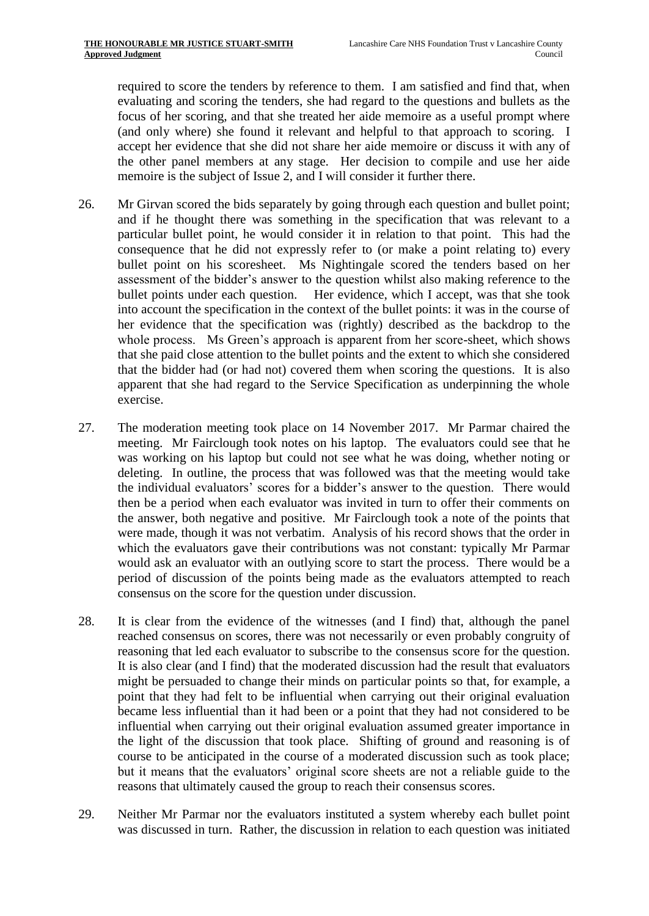required to score the tenders by reference to them. I am satisfied and find that, when evaluating and scoring the tenders, she had regard to the questions and bullets as the focus of her scoring, and that she treated her aide memoire as a useful prompt where (and only where) she found it relevant and helpful to that approach to scoring. I accept her evidence that she did not share her aide memoire or discuss it with any of the other panel members at any stage. Her decision to compile and use her aide memoire is the subject of Issue 2, and I will consider it further there.

- <span id="page-11-1"></span>26. Mr Girvan scored the bids separately by going through each question and bullet point; and if he thought there was something in the specification that was relevant to a particular bullet point, he would consider it in relation to that point. This had the consequence that he did not expressly refer to (or make a point relating to) every bullet point on his scoresheet. Ms Nightingale scored the tenders based on her assessment of the bidder's answer to the question whilst also making reference to the bullet points under each question. Her evidence, which I accept, was that she took into account the specification in the context of the bullet points: it was in the course of her evidence that the specification was (rightly) described as the backdrop to the whole process. Ms Green's approach is apparent from her score-sheet, which shows that she paid close attention to the bullet points and the extent to which she considered that the bidder had (or had not) covered them when scoring the questions. It is also apparent that she had regard to the Service Specification as underpinning the whole exercise.
- <span id="page-11-0"></span>27. The moderation meeting took place on 14 November 2017. Mr Parmar chaired the meeting. Mr Fairclough took notes on his laptop. The evaluators could see that he was working on his laptop but could not see what he was doing, whether noting or deleting. In outline, the process that was followed was that the meeting would take the individual evaluators' scores for a bidder's answer to the question. There would then be a period when each evaluator was invited in turn to offer their comments on the answer, both negative and positive. Mr Fairclough took a note of the points that were made, though it was not verbatim. Analysis of his record shows that the order in which the evaluators gave their contributions was not constant: typically Mr Parmar would ask an evaluator with an outlying score to start the process. There would be a period of discussion of the points being made as the evaluators attempted to reach consensus on the score for the question under discussion.
- 28. It is clear from the evidence of the witnesses (and I find) that, although the panel reached consensus on scores, there was not necessarily or even probably congruity of reasoning that led each evaluator to subscribe to the consensus score for the question. It is also clear (and I find) that the moderated discussion had the result that evaluators might be persuaded to change their minds on particular points so that, for example, a point that they had felt to be influential when carrying out their original evaluation became less influential than it had been or a point that they had not considered to be influential when carrying out their original evaluation assumed greater importance in the light of the discussion that took place. Shifting of ground and reasoning is of course to be anticipated in the course of a moderated discussion such as took place; but it means that the evaluators' original score sheets are not a reliable guide to the reasons that ultimately caused the group to reach their consensus scores.
- 29. Neither Mr Parmar nor the evaluators instituted a system whereby each bullet point was discussed in turn. Rather, the discussion in relation to each question was initiated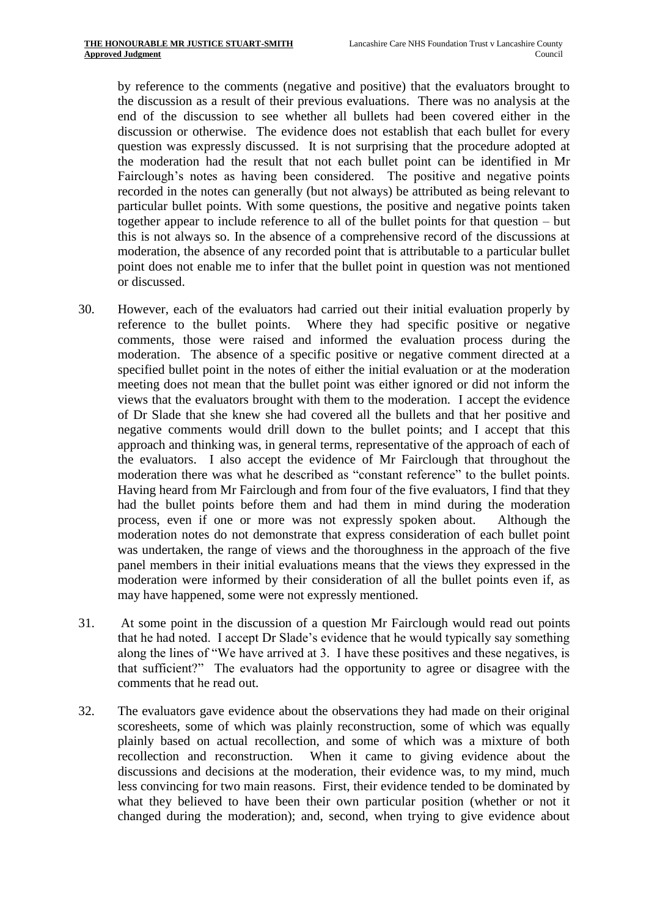by reference to the comments (negative and positive) that the evaluators brought to the discussion as a result of their previous evaluations. There was no analysis at the end of the discussion to see whether all bullets had been covered either in the discussion or otherwise. The evidence does not establish that each bullet for every question was expressly discussed. It is not surprising that the procedure adopted at the moderation had the result that not each bullet point can be identified in Mr Fairclough's notes as having been considered. The positive and negative points recorded in the notes can generally (but not always) be attributed as being relevant to particular bullet points. With some questions, the positive and negative points taken together appear to include reference to all of the bullet points for that question – but this is not always so. In the absence of a comprehensive record of the discussions at moderation, the absence of any recorded point that is attributable to a particular bullet point does not enable me to infer that the bullet point in question was not mentioned or discussed.

- <span id="page-12-1"></span>30. However, each of the evaluators had carried out their initial evaluation properly by reference to the bullet points. Where they had specific positive or negative comments, those were raised and informed the evaluation process during the moderation. The absence of a specific positive or negative comment directed at a specified bullet point in the notes of either the initial evaluation or at the moderation meeting does not mean that the bullet point was either ignored or did not inform the views that the evaluators brought with them to the moderation. I accept the evidence of Dr Slade that she knew she had covered all the bullets and that her positive and negative comments would drill down to the bullet points; and I accept that this approach and thinking was, in general terms, representative of the approach of each of the evaluators. I also accept the evidence of Mr Fairclough that throughout the moderation there was what he described as "constant reference" to the bullet points. Having heard from Mr Fairclough and from four of the five evaluators, I find that they had the bullet points before them and had them in mind during the moderation process, even if one or more was not expressly spoken about. Although the moderation notes do not demonstrate that express consideration of each bullet point was undertaken, the range of views and the thoroughness in the approach of the five panel members in their initial evaluations means that the views they expressed in the moderation were informed by their consideration of all the bullet points even if, as may have happened, some were not expressly mentioned.
- 31. At some point in the discussion of a question Mr Fairclough would read out points that he had noted. I accept Dr Slade's evidence that he would typically say something along the lines of "We have arrived at 3. I have these positives and these negatives, is that sufficient?" The evaluators had the opportunity to agree or disagree with the comments that he read out.
- <span id="page-12-0"></span>32. The evaluators gave evidence about the observations they had made on their original scoresheets, some of which was plainly reconstruction, some of which was equally plainly based on actual recollection, and some of which was a mixture of both recollection and reconstruction. When it came to giving evidence about the discussions and decisions at the moderation, their evidence was, to my mind, much less convincing for two main reasons. First, their evidence tended to be dominated by what they believed to have been their own particular position (whether or not it changed during the moderation); and, second, when trying to give evidence about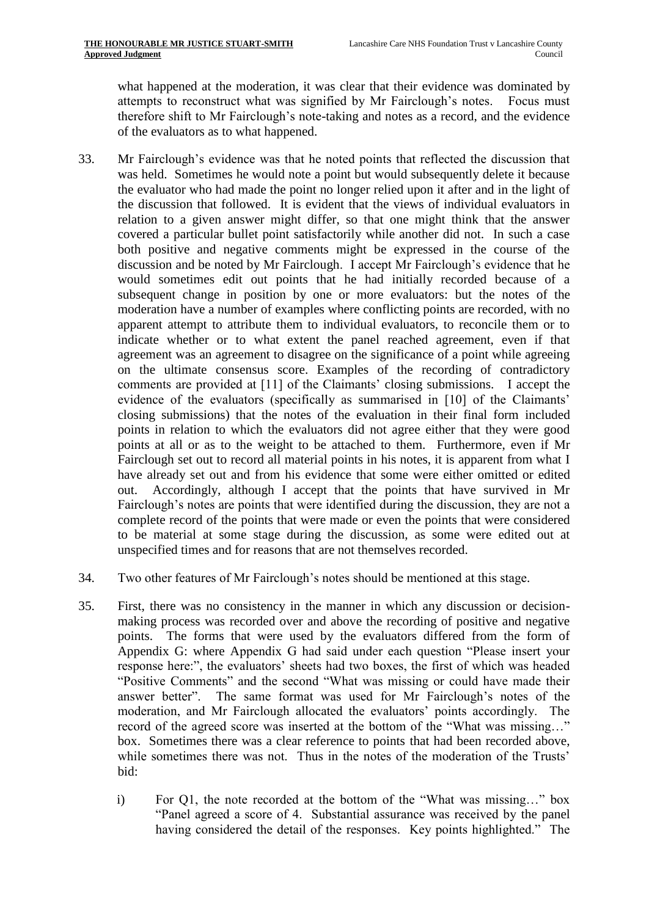what happened at the moderation, it was clear that their evidence was dominated by attempts to reconstruct what was signified by Mr Fairclough's notes. Focus must therefore shift to Mr Fairclough's note-taking and notes as a record, and the evidence of the evaluators as to what happened.

- 33. Mr Fairclough's evidence was that he noted points that reflected the discussion that was held. Sometimes he would note a point but would subsequently delete it because the evaluator who had made the point no longer relied upon it after and in the light of the discussion that followed. It is evident that the views of individual evaluators in relation to a given answer might differ, so that one might think that the answer covered a particular bullet point satisfactorily while another did not. In such a case both positive and negative comments might be expressed in the course of the discussion and be noted by Mr Fairclough. I accept Mr Fairclough's evidence that he would sometimes edit out points that he had initially recorded because of a subsequent change in position by one or more evaluators: but the notes of the moderation have a number of examples where conflicting points are recorded, with no apparent attempt to attribute them to individual evaluators, to reconcile them or to indicate whether or to what extent the panel reached agreement, even if that agreement was an agreement to disagree on the significance of a point while agreeing on the ultimate consensus score. Examples of the recording of contradictory comments are provided at [11] of the Claimants' closing submissions. I accept the evidence of the evaluators (specifically as summarised in [10] of the Claimants' closing submissions) that the notes of the evaluation in their final form included points in relation to which the evaluators did not agree either that they were good points at all or as to the weight to be attached to them. Furthermore, even if Mr Fairclough set out to record all material points in his notes, it is apparent from what I have already set out and from his evidence that some were either omitted or edited out. Accordingly, although I accept that the points that have survived in Mr Fairclough's notes are points that were identified during the discussion, they are not a complete record of the points that were made or even the points that were considered to be material at some stage during the discussion, as some were edited out at unspecified times and for reasons that are not themselves recorded.
- 34. Two other features of Mr Fairclough's notes should be mentioned at this stage.
- <span id="page-13-0"></span>35. First, there was no consistency in the manner in which any discussion or decisionmaking process was recorded over and above the recording of positive and negative points. The forms that were used by the evaluators differed from the form of Appendix G: where Appendix G had said under each question "Please insert your response here:", the evaluators' sheets had two boxes, the first of which was headed "Positive Comments" and the second "What was missing or could have made their answer better". The same format was used for Mr Fairclough's notes of the moderation, and Mr Fairclough allocated the evaluators' points accordingly. The record of the agreed score was inserted at the bottom of the "What was missing…" box. Sometimes there was a clear reference to points that had been recorded above, while sometimes there was not. Thus in the notes of the moderation of the Trusts' bid:
	- i) For Q1, the note recorded at the bottom of the "What was missing…" box "Panel agreed a score of 4. Substantial assurance was received by the panel having considered the detail of the responses. Key points highlighted." The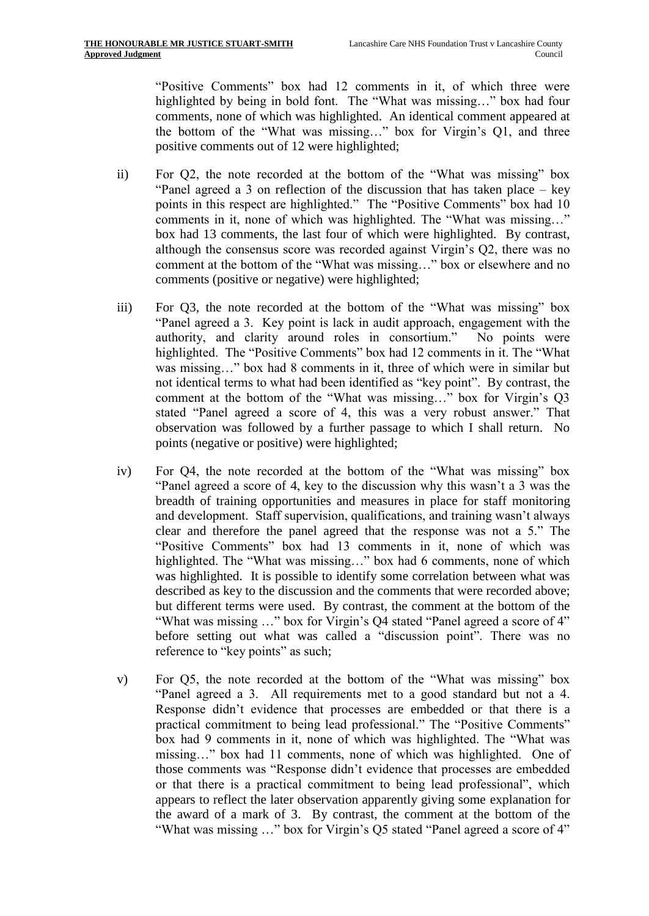"Positive Comments" box had 12 comments in it, of which three were highlighted by being in bold font. The "What was missing…" box had four comments, none of which was highlighted. An identical comment appeared at the bottom of the "What was missing…" box for Virgin's Q1, and three positive comments out of 12 were highlighted;

- ii) For Q2, the note recorded at the bottom of the "What was missing" box "Panel agreed a 3 on reflection of the discussion that has taken place – key points in this respect are highlighted." The "Positive Comments" box had 10 comments in it, none of which was highlighted. The "What was missing…" box had 13 comments, the last four of which were highlighted. By contrast, although the consensus score was recorded against Virgin's Q2, there was no comment at the bottom of the "What was missing…" box or elsewhere and no comments (positive or negative) were highlighted;
- iii) For Q3, the note recorded at the bottom of the "What was missing" box "Panel agreed a 3. Key point is lack in audit approach, engagement with the authority, and clarity around roles in consortium." No points were highlighted. The "Positive Comments" box had 12 comments in it. The "What was missing..." box had 8 comments in it, three of which were in similar but not identical terms to what had been identified as "key point". By contrast, the comment at the bottom of the "What was missing…" box for Virgin's Q3 stated "Panel agreed a score of 4, this was a very robust answer." That observation was followed by a further passage to which I shall return. No points (negative or positive) were highlighted;
- iv) For Q4, the note recorded at the bottom of the "What was missing" box "Panel agreed a score of 4, key to the discussion why this wasn't a 3 was the breadth of training opportunities and measures in place for staff monitoring and development. Staff supervision, qualifications, and training wasn't always clear and therefore the panel agreed that the response was not a 5." The "Positive Comments" box had 13 comments in it, none of which was highlighted. The "What was missing…" box had 6 comments, none of which was highlighted. It is possible to identify some correlation between what was described as key to the discussion and the comments that were recorded above; but different terms were used. By contrast, the comment at the bottom of the "What was missing …" box for Virgin's Q4 stated "Panel agreed a score of 4" before setting out what was called a "discussion point". There was no reference to "key points" as such;
- v) For Q5, the note recorded at the bottom of the "What was missing" box "Panel agreed a 3. All requirements met to a good standard but not a 4. Response didn't evidence that processes are embedded or that there is a practical commitment to being lead professional." The "Positive Comments" box had 9 comments in it, none of which was highlighted. The "What was missing…" box had 11 comments, none of which was highlighted. One of those comments was "Response didn't evidence that processes are embedded or that there is a practical commitment to being lead professional", which appears to reflect the later observation apparently giving some explanation for the award of a mark of 3. By contrast, the comment at the bottom of the "What was missing …" box for Virgin's Q5 stated "Panel agreed a score of 4"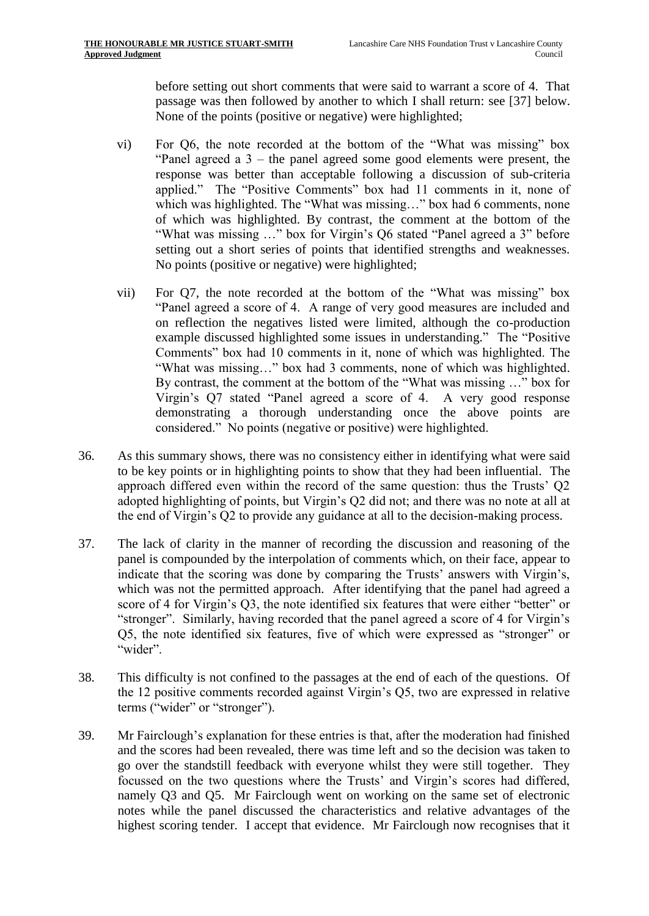before setting out short comments that were said to warrant a score of 4. That passage was then followed by another to which I shall return: see [\[37\]](#page-15-0) below. None of the points (positive or negative) were highlighted;

- vi) For Q6, the note recorded at the bottom of the "What was missing" box "Panel agreed a 3 – the panel agreed some good elements were present, the response was better than acceptable following a discussion of sub-criteria applied." The "Positive Comments" box had 11 comments in it, none of which was highlighted. The "What was missing..." box had 6 comments, none of which was highlighted. By contrast, the comment at the bottom of the "What was missing …" box for Virgin's Q6 stated "Panel agreed a 3" before setting out a short series of points that identified strengths and weaknesses. No points (positive or negative) were highlighted;
- vii) For Q7, the note recorded at the bottom of the "What was missing" box "Panel agreed a score of 4. A range of very good measures are included and on reflection the negatives listed were limited, although the co-production example discussed highlighted some issues in understanding." The "Positive Comments" box had 10 comments in it, none of which was highlighted. The "What was missing…" box had 3 comments, none of which was highlighted. By contrast, the comment at the bottom of the "What was missing …" box for Virgin's Q7 stated "Panel agreed a score of 4. A very good response demonstrating a thorough understanding once the above points are considered." No points (negative or positive) were highlighted.
- 36. As this summary shows, there was no consistency either in identifying what were said to be key points or in highlighting points to show that they had been influential. The approach differed even within the record of the same question: thus the Trusts' Q2 adopted highlighting of points, but Virgin's Q2 did not; and there was no note at all at the end of Virgin's Q2 to provide any guidance at all to the decision-making process.
- <span id="page-15-0"></span>37. The lack of clarity in the manner of recording the discussion and reasoning of the panel is compounded by the interpolation of comments which, on their face, appear to indicate that the scoring was done by comparing the Trusts' answers with Virgin's, which was not the permitted approach. After identifying that the panel had agreed a score of 4 for Virgin's Q3, the note identified six features that were either "better" or "stronger". Similarly, having recorded that the panel agreed a score of 4 for Virgin's Q5, the note identified six features, five of which were expressed as "stronger" or "wider".
- 38. This difficulty is not confined to the passages at the end of each of the questions. Of the 12 positive comments recorded against Virgin's Q5, two are expressed in relative terms ("wider" or "stronger").
- <span id="page-15-1"></span>39. Mr Fairclough's explanation for these entries is that, after the moderation had finished and the scores had been revealed, there was time left and so the decision was taken to go over the standstill feedback with everyone whilst they were still together. They focussed on the two questions where the Trusts' and Virgin's scores had differed, namely Q3 and Q5. Mr Fairclough went on working on the same set of electronic notes while the panel discussed the characteristics and relative advantages of the highest scoring tender. I accept that evidence. Mr Fairclough now recognises that it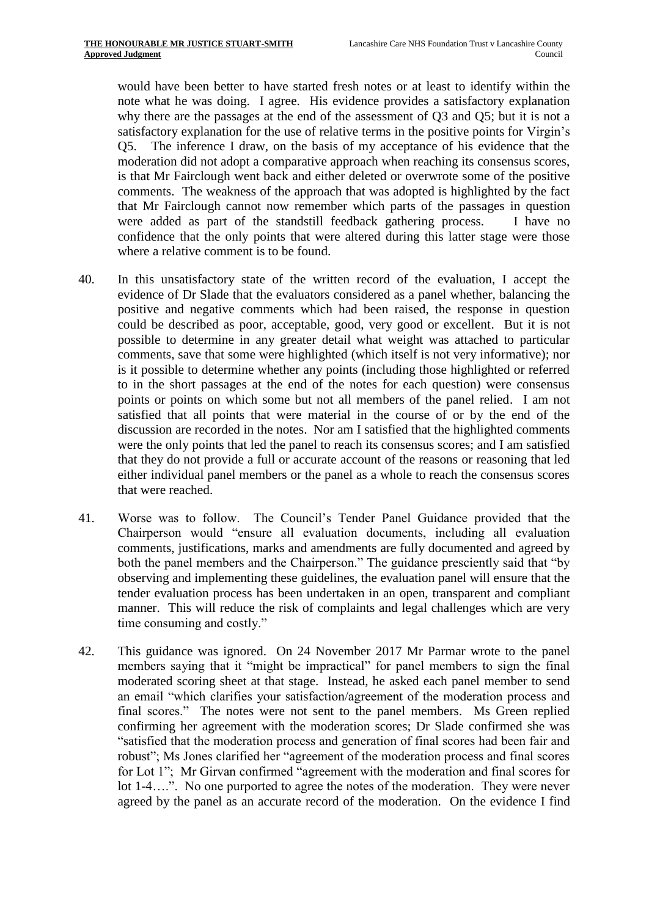would have been better to have started fresh notes or at least to identify within the note what he was doing. I agree. His evidence provides a satisfactory explanation why there are the passages at the end of the assessment of Q3 and Q5; but it is not a satisfactory explanation for the use of relative terms in the positive points for Virgin's Q5. The inference I draw, on the basis of my acceptance of his evidence that the moderation did not adopt a comparative approach when reaching its consensus scores, is that Mr Fairclough went back and either deleted or overwrote some of the positive comments. The weakness of the approach that was adopted is highlighted by the fact that Mr Fairclough cannot now remember which parts of the passages in question were added as part of the standstill feedback gathering process. I have no confidence that the only points that were altered during this latter stage were those where a relative comment is to be found.

- <span id="page-16-0"></span>40. In this unsatisfactory state of the written record of the evaluation, I accept the evidence of Dr Slade that the evaluators considered as a panel whether, balancing the positive and negative comments which had been raised, the response in question could be described as poor, acceptable, good, very good or excellent. But it is not possible to determine in any greater detail what weight was attached to particular comments, save that some were highlighted (which itself is not very informative); nor is it possible to determine whether any points (including those highlighted or referred to in the short passages at the end of the notes for each question) were consensus points or points on which some but not all members of the panel relied. I am not satisfied that all points that were material in the course of or by the end of the discussion are recorded in the notes. Nor am I satisfied that the highlighted comments were the only points that led the panel to reach its consensus scores; and I am satisfied that they do not provide a full or accurate account of the reasons or reasoning that led either individual panel members or the panel as a whole to reach the consensus scores that were reached.
- 41. Worse was to follow. The Council's Tender Panel Guidance provided that the Chairperson would "ensure all evaluation documents, including all evaluation comments, justifications, marks and amendments are fully documented and agreed by both the panel members and the Chairperson." The guidance presciently said that "by observing and implementing these guidelines, the evaluation panel will ensure that the tender evaluation process has been undertaken in an open, transparent and compliant manner. This will reduce the risk of complaints and legal challenges which are very time consuming and costly."
- 42. This guidance was ignored. On 24 November 2017 Mr Parmar wrote to the panel members saying that it "might be impractical" for panel members to sign the final moderated scoring sheet at that stage. Instead, he asked each panel member to send an email "which clarifies your satisfaction/agreement of the moderation process and final scores." The notes were not sent to the panel members. Ms Green replied confirming her agreement with the moderation scores; Dr Slade confirmed she was "satisfied that the moderation process and generation of final scores had been fair and robust"; Ms Jones clarified her "agreement of the moderation process and final scores for Lot 1"; Mr Girvan confirmed "agreement with the moderation and final scores for lot 1-4….". No one purported to agree the notes of the moderation. They were never agreed by the panel as an accurate record of the moderation. On the evidence I find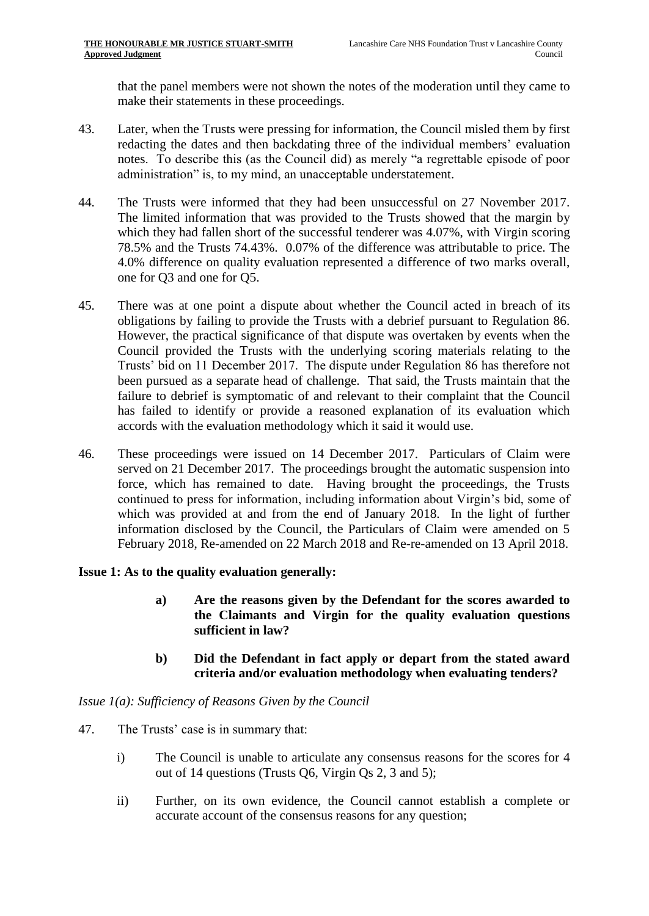that the panel members were not shown the notes of the moderation until they came to make their statements in these proceedings.

- 43. Later, when the Trusts were pressing for information, the Council misled them by first redacting the dates and then backdating three of the individual members' evaluation notes. To describe this (as the Council did) as merely "a regrettable episode of poor administration" is, to my mind, an unacceptable understatement.
- 44. The Trusts were informed that they had been unsuccessful on 27 November 2017. The limited information that was provided to the Trusts showed that the margin by which they had fallen short of the successful tenderer was 4.07%, with Virgin scoring 78.5% and the Trusts 74.43%. 0.07% of the difference was attributable to price. The 4.0% difference on quality evaluation represented a difference of two marks overall, one for Q3 and one for Q5.
- 45. There was at one point a dispute about whether the Council acted in breach of its obligations by failing to provide the Trusts with a debrief pursuant to Regulation 86. However, the practical significance of that dispute was overtaken by events when the Council provided the Trusts with the underlying scoring materials relating to the Trusts' bid on 11 December 2017. The dispute under Regulation 86 has therefore not been pursued as a separate head of challenge. That said, the Trusts maintain that the failure to debrief is symptomatic of and relevant to their complaint that the Council has failed to identify or provide a reasoned explanation of its evaluation which accords with the evaluation methodology which it said it would use.
- 46. These proceedings were issued on 14 December 2017. Particulars of Claim were served on 21 December 2017. The proceedings brought the automatic suspension into force, which has remained to date. Having brought the proceedings, the Trusts continued to press for information, including information about Virgin's bid, some of which was provided at and from the end of January 2018. In the light of further information disclosed by the Council, the Particulars of Claim were amended on 5 February 2018, Re-amended on 22 March 2018 and Re-re-amended on 13 April 2018.

## **Issue 1: As to the quality evaluation generally:**

- **a) Are the reasons given by the Defendant for the scores awarded to the Claimants and Virgin for the quality evaluation questions sufficient in law?**
- **b) Did the Defendant in fact apply or depart from the stated award criteria and/or evaluation methodology when evaluating tenders?**

## *Issue 1(a): Sufficiency of Reasons Given by the Council*

- 47. The Trusts' case is in summary that:
	- i) The Council is unable to articulate any consensus reasons for the scores for 4 out of 14 questions (Trusts Q6, Virgin Qs 2, 3 and 5);
	- ii) Further, on its own evidence, the Council cannot establish a complete or accurate account of the consensus reasons for any question;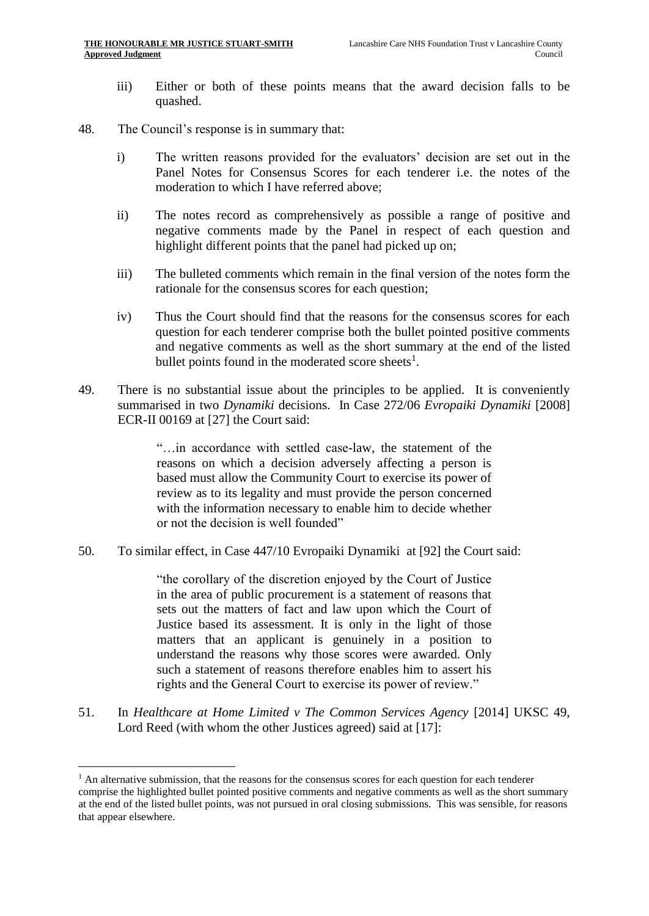- iii) Either or both of these points means that the award decision falls to be quashed.
- <span id="page-18-0"></span>48. The Council's response is in summary that:
	- i) The written reasons provided for the evaluators' decision are set out in the Panel Notes for Consensus Scores for each tenderer i.e. the notes of the moderation to which I have referred above;
	- ii) The notes record as comprehensively as possible a range of positive and negative comments made by the Panel in respect of each question and highlight different points that the panel had picked up on;
	- iii) The bulleted comments which remain in the final version of the notes form the rationale for the consensus scores for each question;
	- iv) Thus the Court should find that the reasons for the consensus scores for each question for each tenderer comprise both the bullet pointed positive comments and negative comments as well as the short summary at the end of the listed bullet points found in the moderated score sheets $<sup>1</sup>$ .</sup>
- 49. There is no substantial issue about the principles to be applied. It is conveniently summarised in two *Dynamiki* decisions. In Case 272/06 *Evropaiki Dynamiki* [2008] ECR-II 00169 at [27] the Court said:

"…in accordance with settled case-law, the statement of the reasons on which a decision adversely affecting a person is based must allow the Community Court to exercise its power of review as to its legality and must provide the person concerned with the information necessary to enable him to decide whether or not the decision is well founded"

50. To similar effect, in Case 447/10 Evropaiki Dynamiki at [92] the Court said:

"the corollary of the discretion enjoyed by the Court of Justice in the area of public procurement is a statement of reasons that sets out the matters of fact and law upon which the Court of Justice based its assessment. It is only in the light of those matters that an applicant is genuinely in a position to understand the reasons why those scores were awarded. Only such a statement of reasons therefore enables him to assert his rights and the General Court to exercise its power of review."

51. In *Healthcare at Home Limited v The Common Services Agency* [2014] UKSC 49, Lord Reed (with whom the other Justices agreed) said at [17]:

<u>.</u>

 $<sup>1</sup>$  An alternative submission, that the reasons for the consensus scores for each question for each tenderer</sup> comprise the highlighted bullet pointed positive comments and negative comments as well as the short summary at the end of the listed bullet points, was not pursued in oral closing submissions. This was sensible, for reasons that appear elsewhere.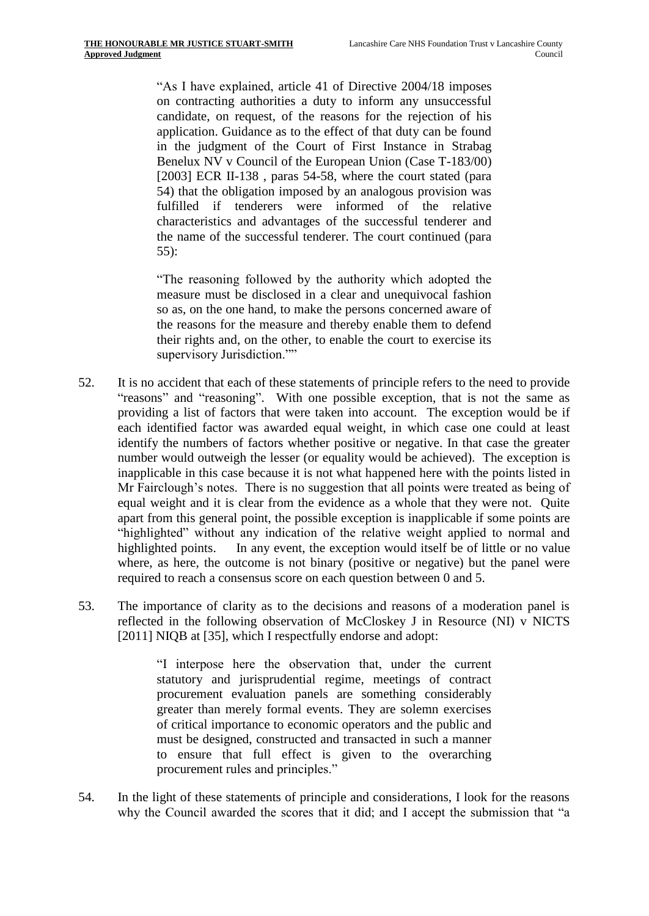"As I have explained, [article 41 of Directive 2004/18](https://login.westlaw.co.uk/maf/wluk/app/document?src=doc&linktype=ref&context=12&crumb-action=replace&docguid=I102C386594B74688BB8DD1B4F724A2BB) imposes on contracting authorities a duty to inform any unsuccessful candidate, on request, of the reasons for the rejection of his application. Guidance as to the effect of that duty can be found in the judgment of the Court of First Instance in Strabag Benelux NV v Council of the European Union (Case T-183/00) [2003] ECR II-138, paras 54-58, where the court stated (para 54) that the obligation imposed by an analogous provision was fulfilled if tenderers were informed of the relative characteristics and advantages of the successful tenderer and the name of the successful tenderer. The court continued (para 55):

"The reasoning followed by the authority which adopted the measure must be disclosed in a clear and unequivocal fashion so as, on the one hand, to make the persons concerned aware of the reasons for the measure and thereby enable them to defend their rights and, on the other, to enable the court to exercise its supervisory Jurisdiction.""

- 52. It is no accident that each of these statements of principle refers to the need to provide "reasons" and "reasoning". With one possible exception, that is not the same as providing a list of factors that were taken into account. The exception would be if each identified factor was awarded equal weight, in which case one could at least identify the numbers of factors whether positive or negative. In that case the greater number would outweigh the lesser (or equality would be achieved). The exception is inapplicable in this case because it is not what happened here with the points listed in Mr Fairclough's notes. There is no suggestion that all points were treated as being of equal weight and it is clear from the evidence as a whole that they were not. Quite apart from this general point, the possible exception is inapplicable if some points are "highlighted" without any indication of the relative weight applied to normal and highlighted points. In any event, the exception would itself be of little or no value where, as here, the outcome is not binary (positive or negative) but the panel were required to reach a consensus score on each question between 0 and 5.
- 53. The importance of clarity as to the decisions and reasons of a moderation panel is reflected in the following observation of McCloskey J in Resource (NI) v NICTS [2011] NIQB at [35], which I respectfully endorse and adopt:

"I interpose here the observation that, under the current statutory and jurisprudential regime, meetings of contract procurement evaluation panels are something considerably greater than merely formal events. They are solemn exercises of critical importance to economic operators and the public and must be designed, constructed and transacted in such a manner to ensure that full effect is given to the overarching procurement rules and principles."

54. In the light of these statements of principle and considerations, I look for the reasons why the Council awarded the scores that it did; and I accept the submission that "a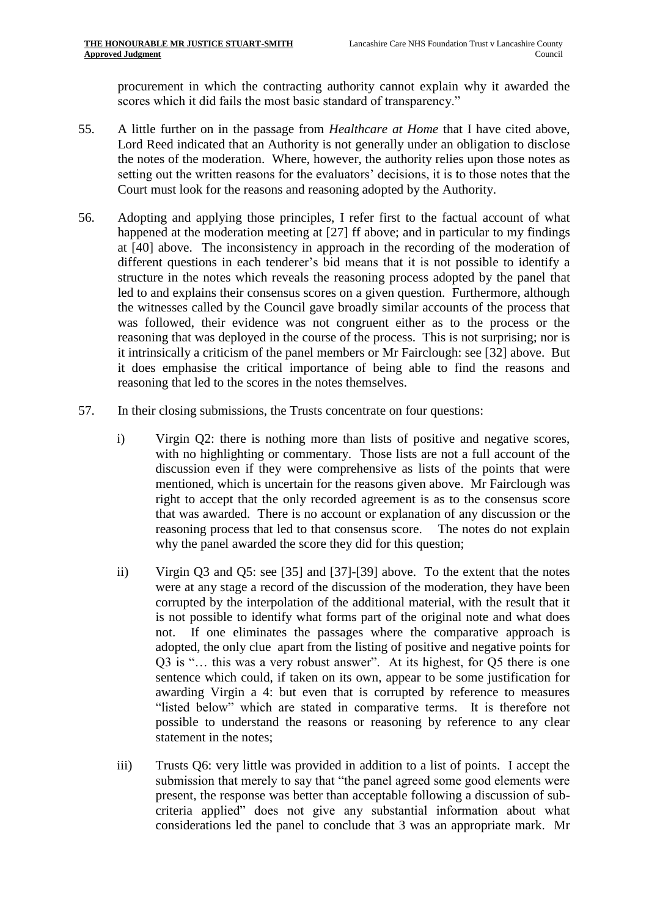procurement in which the contracting authority cannot explain why it awarded the scores which it did fails the most basic standard of transparency."

- 55. A little further on in the passage from *Healthcare at Home* that I have cited above, Lord Reed indicated that an Authority is not generally under an obligation to disclose the notes of the moderation. Where, however, the authority relies upon those notes as setting out the written reasons for the evaluators' decisions, it is to those notes that the Court must look for the reasons and reasoning adopted by the Authority.
- 56. Adopting and applying those principles, I refer first to the factual account of what happened at the moderation meeting at [\[27\]](#page-11-0) ff above; and in particular to my findings at [\[40\]](#page-16-0) above. The inconsistency in approach in the recording of the moderation of different questions in each tenderer's bid means that it is not possible to identify a structure in the notes which reveals the reasoning process adopted by the panel that led to and explains their consensus scores on a given question. Furthermore, although the witnesses called by the Council gave broadly similar accounts of the process that was followed, their evidence was not congruent either as to the process or the reasoning that was deployed in the course of the process. This is not surprising; nor is it intrinsically a criticism of the panel members or Mr Fairclough: see [\[32\]](#page-12-0) above. But it does emphasise the critical importance of being able to find the reasons and reasoning that led to the scores in the notes themselves.
- 57. In their closing submissions, the Trusts concentrate on four questions:
	- i) Virgin Q2: there is nothing more than lists of positive and negative scores, with no highlighting or commentary. Those lists are not a full account of the discussion even if they were comprehensive as lists of the points that were mentioned, which is uncertain for the reasons given above. Mr Fairclough was right to accept that the only recorded agreement is as to the consensus score that was awarded. There is no account or explanation of any discussion or the reasoning process that led to that consensus score. The notes do not explain why the panel awarded the score they did for this question;
	- ii) Virgin Q3 and Q5: see [\[35\]](#page-13-0) and [\[37\]](#page-15-0)-[\[39\]](#page-15-1) above. To the extent that the notes were at any stage a record of the discussion of the moderation, they have been corrupted by the interpolation of the additional material, with the result that it is not possible to identify what forms part of the original note and what does not. If one eliminates the passages where the comparative approach is adopted, the only clue apart from the listing of positive and negative points for Q3 is "… this was a very robust answer". At its highest, for Q5 there is one sentence which could, if taken on its own, appear to be some justification for awarding Virgin a 4: but even that is corrupted by reference to measures "listed below" which are stated in comparative terms. It is therefore not possible to understand the reasons or reasoning by reference to any clear statement in the notes;
	- iii) Trusts Q6: very little was provided in addition to a list of points. I accept the submission that merely to say that "the panel agreed some good elements were present, the response was better than acceptable following a discussion of subcriteria applied" does not give any substantial information about what considerations led the panel to conclude that 3 was an appropriate mark. Mr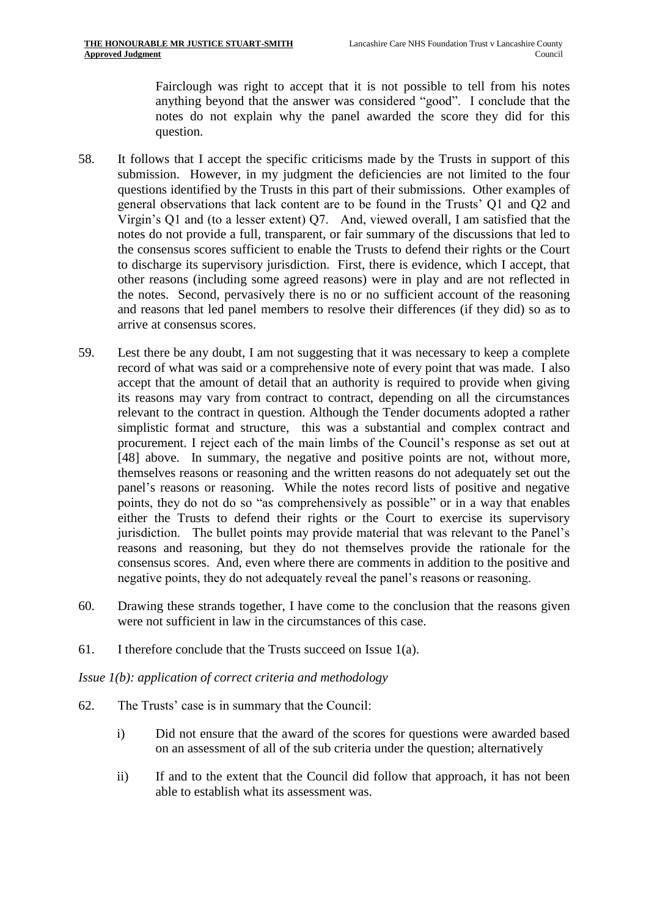Fairclough was right to accept that it is not possible to tell from his notes anything beyond that the answer was considered "good". I conclude that the notes do not explain why the panel awarded the score they did for this question.

- 58. It follows that I accept the specific criticisms made by the Trusts in support of this submission. However, in my judgment the deficiencies are not limited to the four questions identified by the Trusts in this part of their submissions. Other examples of general observations that lack content are to be found in the Trusts' Q1 and Q2 and Virgin's Q1 and (to a lesser extent) Q7. And, viewed overall, I am satisfied that the notes do not provide a full, transparent, or fair summary of the discussions that led to the consensus scores sufficient to enable the Trusts to defend their rights or the Court to discharge its supervisory jurisdiction. First, there is evidence, which I accept, that other reasons (including some agreed reasons) were in play and are not reflected in the notes. Second, pervasively there is no or no sufficient account of the reasoning and reasons that led panel members to resolve their differences (if they did) so as to arrive at consensus scores.
- 59. Lest there be any doubt, I am not suggesting that it was necessary to keep a complete record of what was said or a comprehensive note of every point that was made. I also accept that the amount of detail that an authority is required to provide when giving its reasons may vary from contract to contract, depending on all the circumstances relevant to the contract in question. Although the Tender documents adopted a rather simplistic format and structure, this was a substantial and complex contract and procurement. I reject each of the main limbs of the Council's response as set out at [\[48\]](#page-18-0) above. In summary, the negative and positive points are not, without more, themselves reasons or reasoning and the written reasons do not adequately set out the panel's reasons or reasoning. While the notes record lists of positive and negative points, they do not do so "as comprehensively as possible" or in a way that enables either the Trusts to defend their rights or the Court to exercise its supervisory jurisdiction. The bullet points may provide material that was relevant to the Panel's reasons and reasoning, but they do not themselves provide the rationale for the consensus scores. And, even where there are comments in addition to the positive and negative points, they do not adequately reveal the panel's reasons or reasoning.
- 60. Drawing these strands together, I have come to the conclusion that the reasons given were not sufficient in law in the circumstances of this case.
- 61. I therefore conclude that the Trusts succeed on Issue 1(a).

#### *Issue 1(b): application of correct criteria and methodology*

- 62. The Trusts' case is in summary that the Council:
	- i) Did not ensure that the award of the scores for questions were awarded based on an assessment of all of the sub criteria under the question; alternatively
	- ii) If and to the extent that the Council did follow that approach, it has not been able to establish what its assessment was.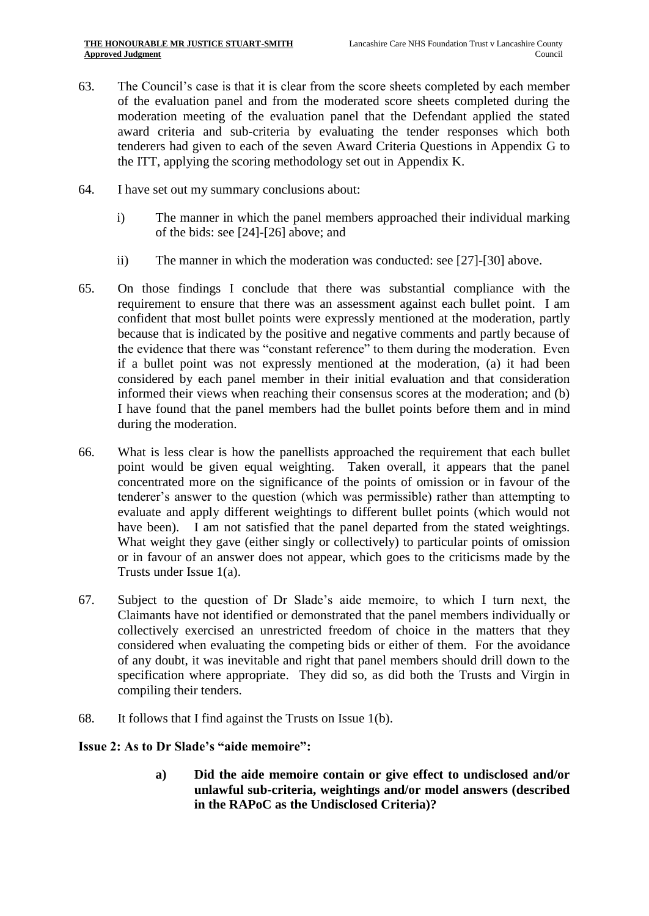- 63. The Council's case is that it is clear from the score sheets completed by each member of the evaluation panel and from the moderated score sheets completed during the moderation meeting of the evaluation panel that the Defendant applied the stated award criteria and sub-criteria by evaluating the tender responses which both tenderers had given to each of the seven Award Criteria Questions in Appendix G to the ITT, applying the scoring methodology set out in Appendix K.
- 64. I have set out my summary conclusions about:
	- i) The manner in which the panel members approached their individual marking of the bids: see [\[24\]](#page-10-0)-[\[26\]](#page-11-1) above; and
	- ii) The manner in which the moderation was conducted: see [\[27\]](#page-11-0)-[\[30\]](#page-12-1) above.
- 65. On those findings I conclude that there was substantial compliance with the requirement to ensure that there was an assessment against each bullet point. I am confident that most bullet points were expressly mentioned at the moderation, partly because that is indicated by the positive and negative comments and partly because of the evidence that there was "constant reference" to them during the moderation. Even if a bullet point was not expressly mentioned at the moderation, (a) it had been considered by each panel member in their initial evaluation and that consideration informed their views when reaching their consensus scores at the moderation; and (b) I have found that the panel members had the bullet points before them and in mind during the moderation.
- 66. What is less clear is how the panellists approached the requirement that each bullet point would be given equal weighting. Taken overall, it appears that the panel concentrated more on the significance of the points of omission or in favour of the tenderer's answer to the question (which was permissible) rather than attempting to evaluate and apply different weightings to different bullet points (which would not have been). I am not satisfied that the panel departed from the stated weightings. What weight they gave (either singly or collectively) to particular points of omission or in favour of an answer does not appear, which goes to the criticisms made by the Trusts under Issue 1(a).
- 67. Subject to the question of Dr Slade's aide memoire, to which I turn next, the Claimants have not identified or demonstrated that the panel members individually or collectively exercised an unrestricted freedom of choice in the matters that they considered when evaluating the competing bids or either of them. For the avoidance of any doubt, it was inevitable and right that panel members should drill down to the specification where appropriate. They did so, as did both the Trusts and Virgin in compiling their tenders.
- 68. It follows that I find against the Trusts on Issue 1(b).

## **Issue 2: As to Dr Slade's "aide memoire":**

**a) Did the aide memoire contain or give effect to undisclosed and/or unlawful sub-criteria, weightings and/or model answers (described in the RAPoC as the Undisclosed Criteria)?**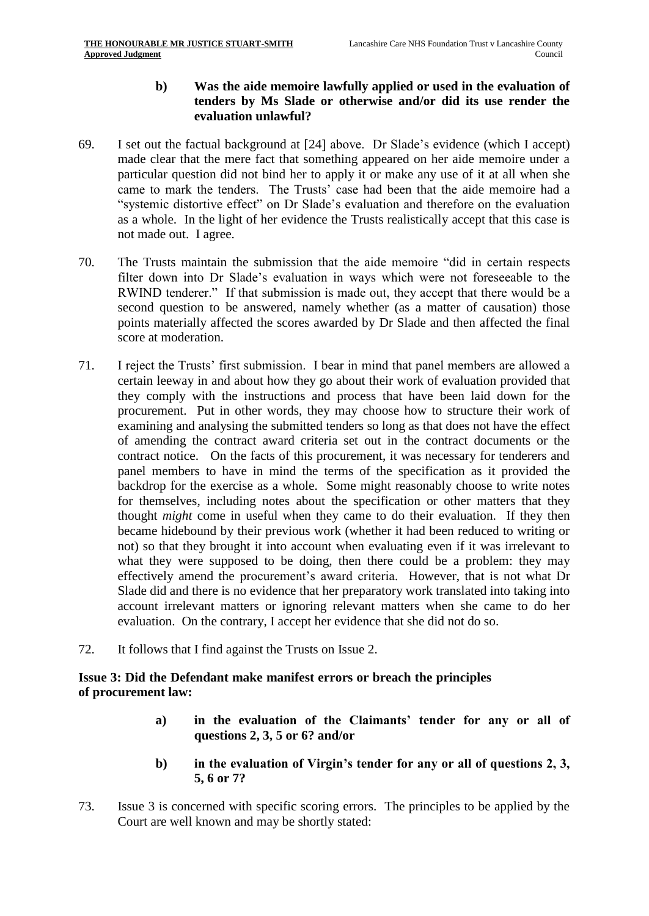## **b) Was the aide memoire lawfully applied or used in the evaluation of tenders by Ms Slade or otherwise and/or did its use render the evaluation unlawful?**

- 69. I set out the factual background at [\[24\]](#page-10-0) above. Dr Slade's evidence (which I accept) made clear that the mere fact that something appeared on her aide memoire under a particular question did not bind her to apply it or make any use of it at all when she came to mark the tenders. The Trusts' case had been that the aide memoire had a "systemic distortive effect" on Dr Slade's evaluation and therefore on the evaluation as a whole. In the light of her evidence the Trusts realistically accept that this case is not made out. I agree.
- 70. The Trusts maintain the submission that the aide memoire "did in certain respects filter down into Dr Slade's evaluation in ways which were not foreseeable to the RWIND tenderer." If that submission is made out, they accept that there would be a second question to be answered, namely whether (as a matter of causation) those points materially affected the scores awarded by Dr Slade and then affected the final score at moderation.
- 71. I reject the Trusts' first submission. I bear in mind that panel members are allowed a certain leeway in and about how they go about their work of evaluation provided that they comply with the instructions and process that have been laid down for the procurement. Put in other words, they may choose how to structure their work of examining and analysing the submitted tenders so long as that does not have the effect of amending the contract award criteria set out in the contract documents or the contract notice. On the facts of this procurement, it was necessary for tenderers and panel members to have in mind the terms of the specification as it provided the backdrop for the exercise as a whole. Some might reasonably choose to write notes for themselves, including notes about the specification or other matters that they thought *might* come in useful when they came to do their evaluation. If they then became hidebound by their previous work (whether it had been reduced to writing or not) so that they brought it into account when evaluating even if it was irrelevant to what they were supposed to be doing, then there could be a problem: they may effectively amend the procurement's award criteria. However, that is not what Dr Slade did and there is no evidence that her preparatory work translated into taking into account irrelevant matters or ignoring relevant matters when she came to do her evaluation. On the contrary, I accept her evidence that she did not do so.
- 72. It follows that I find against the Trusts on Issue 2.

## **Issue 3: Did the Defendant make manifest errors or breach the principles of procurement law:**

- **a) in the evaluation of the Claimants' tender for any or all of questions 2, 3, 5 or 6? and/or**
- **b) in the evaluation of Virgin's tender for any or all of questions 2, 3, 5, 6 or 7?**
- 73. Issue 3 is concerned with specific scoring errors. The principles to be applied by the Court are well known and may be shortly stated: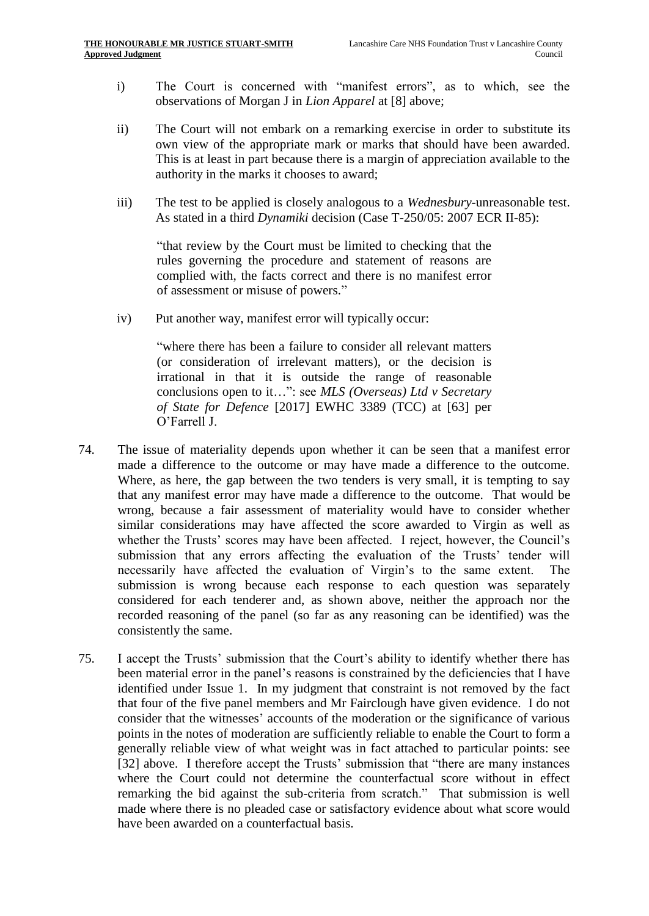- i) The Court is concerned with "manifest errors", as to which, see the observations of Morgan J in *Lion Apparel* at [\[8\]](#page-3-0) above;
- ii) The Court will not embark on a remarking exercise in order to substitute its own view of the appropriate mark or marks that should have been awarded. This is at least in part because there is a margin of appreciation available to the authority in the marks it chooses to award;
- iii) The test to be applied is closely analogous to a *Wednesbury*-unreasonable test. As stated in a third *Dynamiki* decision (Case T-250/05: 2007 ECR II-85):

"that review by the Court must be limited to checking that the rules governing the procedure and statement of reasons are complied with, the facts correct and there is no manifest error of assessment or misuse of powers."

iv) Put another way, manifest error will typically occur:

"where there has been a failure to consider all relevant matters (or consideration of irrelevant matters), or the decision is irrational in that it is outside the range of reasonable conclusions open to it…": see *MLS (Overseas) Ltd v Secretary of State for Defence* [2017] EWHC 3389 (TCC) at [63] per O'Farrell J.

- 74. The issue of materiality depends upon whether it can be seen that a manifest error made a difference to the outcome or may have made a difference to the outcome. Where, as here, the gap between the two tenders is very small, it is tempting to say that any manifest error may have made a difference to the outcome. That would be wrong, because a fair assessment of materiality would have to consider whether similar considerations may have affected the score awarded to Virgin as well as whether the Trusts' scores may have been affected. I reject, however, the Council's submission that any errors affecting the evaluation of the Trusts' tender will necessarily have affected the evaluation of Virgin's to the same extent. The submission is wrong because each response to each question was separately considered for each tenderer and, as shown above, neither the approach nor the recorded reasoning of the panel (so far as any reasoning can be identified) was the consistently the same.
- 75. I accept the Trusts' submission that the Court's ability to identify whether there has been material error in the panel's reasons is constrained by the deficiencies that I have identified under Issue 1. In my judgment that constraint is not removed by the fact that four of the five panel members and Mr Fairclough have given evidence. I do not consider that the witnesses' accounts of the moderation or the significance of various points in the notes of moderation are sufficiently reliable to enable the Court to form a generally reliable view of what weight was in fact attached to particular points: see [\[32\]](#page-12-0) above. I therefore accept the Trusts' submission that "there are many instances" where the Court could not determine the counterfactual score without in effect remarking the bid against the sub-criteria from scratch." That submission is well made where there is no pleaded case or satisfactory evidence about what score would have been awarded on a counterfactual basis.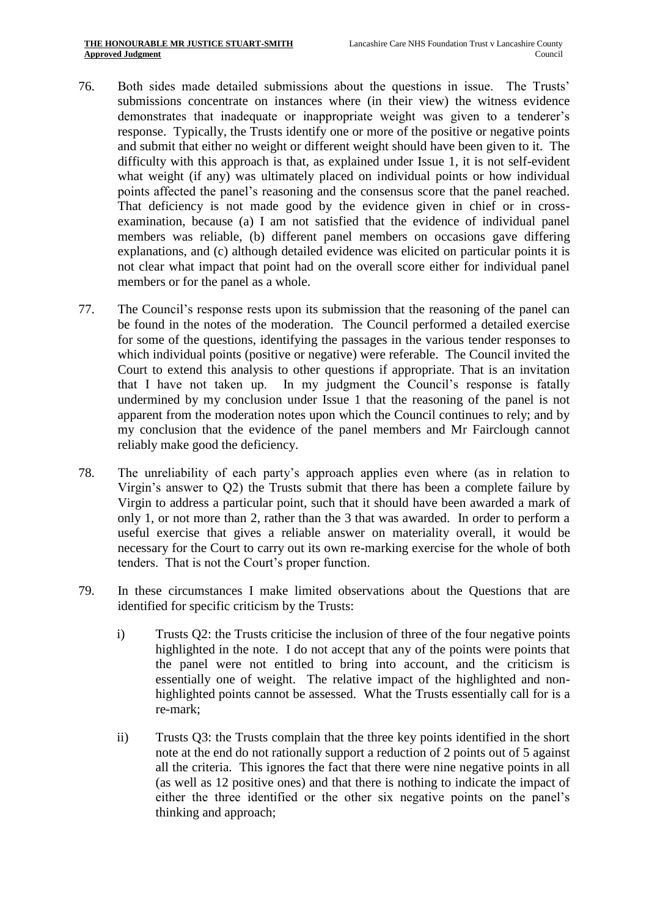- 76. Both sides made detailed submissions about the questions in issue. The Trusts' submissions concentrate on instances where (in their view) the witness evidence demonstrates that inadequate or inappropriate weight was given to a tenderer's response. Typically, the Trusts identify one or more of the positive or negative points and submit that either no weight or different weight should have been given to it. The difficulty with this approach is that, as explained under Issue 1, it is not self-evident what weight (if any) was ultimately placed on individual points or how individual points affected the panel's reasoning and the consensus score that the panel reached. That deficiency is not made good by the evidence given in chief or in crossexamination, because (a) I am not satisfied that the evidence of individual panel members was reliable, (b) different panel members on occasions gave differing explanations, and (c) although detailed evidence was elicited on particular points it is not clear what impact that point had on the overall score either for individual panel members or for the panel as a whole.
- 77. The Council's response rests upon its submission that the reasoning of the panel can be found in the notes of the moderation. The Council performed a detailed exercise for some of the questions, identifying the passages in the various tender responses to which individual points (positive or negative) were referable. The Council invited the Court to extend this analysis to other questions if appropriate. That is an invitation that I have not taken up. In my judgment the Council's response is fatally undermined by my conclusion under Issue 1 that the reasoning of the panel is not apparent from the moderation notes upon which the Council continues to rely; and by my conclusion that the evidence of the panel members and Mr Fairclough cannot reliably make good the deficiency.
- 78. The unreliability of each party's approach applies even where (as in relation to Virgin's answer to Q2) the Trusts submit that there has been a complete failure by Virgin to address a particular point, such that it should have been awarded a mark of only 1, or not more than 2, rather than the 3 that was awarded. In order to perform a useful exercise that gives a reliable answer on materiality overall, it would be necessary for the Court to carry out its own re-marking exercise for the whole of both tenders. That is not the Court's proper function.
- 79. In these circumstances I make limited observations about the Questions that are identified for specific criticism by the Trusts:
	- i) Trusts Q2: the Trusts criticise the inclusion of three of the four negative points highlighted in the note. I do not accept that any of the points were points that the panel were not entitled to bring into account, and the criticism is essentially one of weight. The relative impact of the highlighted and nonhighlighted points cannot be assessed. What the Trusts essentially call for is a re-mark;
	- ii) Trusts Q3: the Trusts complain that the three key points identified in the short note at the end do not rationally support a reduction of 2 points out of 5 against all the criteria. This ignores the fact that there were nine negative points in all (as well as 12 positive ones) and that there is nothing to indicate the impact of either the three identified or the other six negative points on the panel's thinking and approach;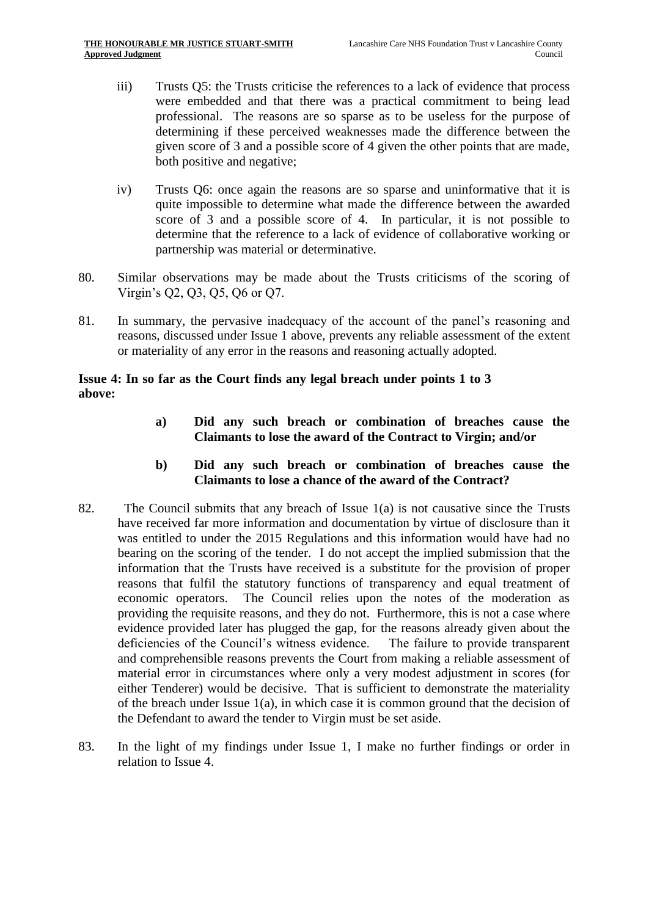- iii) Trusts Q5: the Trusts criticise the references to a lack of evidence that process were embedded and that there was a practical commitment to being lead professional. The reasons are so sparse as to be useless for the purpose of determining if these perceived weaknesses made the difference between the given score of 3 and a possible score of 4 given the other points that are made, both positive and negative;
- iv) Trusts Q6: once again the reasons are so sparse and uninformative that it is quite impossible to determine what made the difference between the awarded score of 3 and a possible score of 4. In particular, it is not possible to determine that the reference to a lack of evidence of collaborative working or partnership was material or determinative.
- 80. Similar observations may be made about the Trusts criticisms of the scoring of Virgin's Q2, Q3, Q5, Q6 or Q7.
- 81. In summary, the pervasive inadequacy of the account of the panel's reasoning and reasons, discussed under Issue 1 above, prevents any reliable assessment of the extent or materiality of any error in the reasons and reasoning actually adopted.

## **Issue 4: In so far as the Court finds any legal breach under points 1 to 3 above:**

- **a) Did any such breach or combination of breaches cause the Claimants to lose the award of the Contract to Virgin; and/or**
- **b) Did any such breach or combination of breaches cause the Claimants to lose a chance of the award of the Contract?**
- 82. The Council submits that any breach of Issue 1(a) is not causative since the Trusts have received far more information and documentation by virtue of disclosure than it was entitled to under the 2015 Regulations and this information would have had no bearing on the scoring of the tender. I do not accept the implied submission that the information that the Trusts have received is a substitute for the provision of proper reasons that fulfil the statutory functions of transparency and equal treatment of economic operators. The Council relies upon the notes of the moderation as providing the requisite reasons, and they do not. Furthermore, this is not a case where evidence provided later has plugged the gap, for the reasons already given about the deficiencies of the Council's witness evidence. The failure to provide transparent and comprehensible reasons prevents the Court from making a reliable assessment of material error in circumstances where only a very modest adjustment in scores (for either Tenderer) would be decisive. That is sufficient to demonstrate the materiality of the breach under Issue 1(a), in which case it is common ground that the decision of the Defendant to award the tender to Virgin must be set aside.
- 83. In the light of my findings under Issue 1, I make no further findings or order in relation to Issue 4.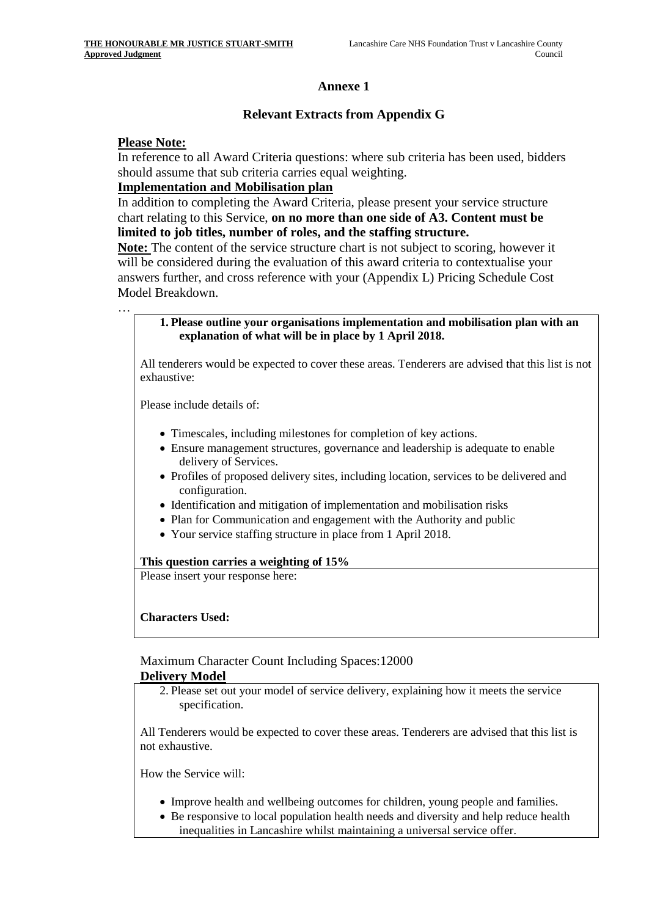## **Annexe 1**

## **Relevant Extracts from Appendix G**

#### **Please Note:**

…

In reference to all Award Criteria questions: where sub criteria has been used, bidders should assume that sub criteria carries equal weighting.

#### **Implementation and Mobilisation plan**

In addition to completing the Award Criteria, please present your service structure chart relating to this Service, **on no more than one side of A3. Content must be limited to job titles, number of roles, and the staffing structure.**

**Note:** The content of the service structure chart is not subject to scoring, however it will be considered during the evaluation of this award criteria to contextualise your answers further, and cross reference with your (Appendix L) Pricing Schedule Cost Model Breakdown.

#### **1. Please outline your organisations implementation and mobilisation plan with an explanation of what will be in place by 1 April 2018.**

All tenderers would be expected to cover these areas. Tenderers are advised that this list is not exhaustive:

Please include details of:

- Timescales, including milestones for completion of key actions.
- Ensure management structures, governance and leadership is adequate to enable delivery of Services.
- Profiles of proposed delivery sites, including location, services to be delivered and configuration.
- Identification and mitigation of implementation and mobilisation risks
- Plan for Communication and engagement with the Authority and public
- Your service staffing structure in place from 1 April 2018.

#### **This question carries a weighting of 15%**

Please insert your response here:

**Characters Used:**

## Maximum Character Count Including Spaces:12000

#### **Delivery Model**

2. Please set out your model of service delivery, explaining how it meets the service specification.

All Tenderers would be expected to cover these areas. Tenderers are advised that this list is not exhaustive.

How the Service will:

- Improve health and wellbeing outcomes for children, young people and families.
- Be responsive to local population health needs and diversity and help reduce health
- inequalities in Lancashire whilst maintaining a universal service offer.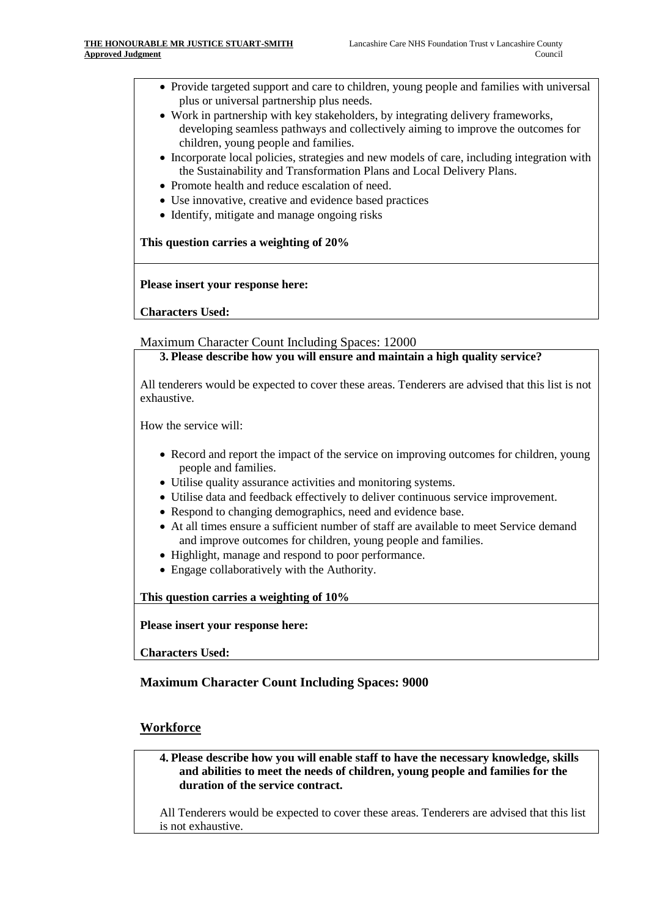- Provide targeted support and care to children, young people and families with universal plus or universal partnership plus needs.
- Work in partnership with key stakeholders, by integrating delivery frameworks, developing seamless pathways and collectively aiming to improve the outcomes for children, young people and families.
- Incorporate local policies, strategies and new models of care, including integration with the Sustainability and Transformation Plans and Local Delivery Plans.
- Promote health and reduce escalation of need.
- Use innovative, creative and evidence based practices
- Identify, mitigate and manage ongoing risks

**This question carries a weighting of 20%**

**Please insert your response here:**

**Characters Used:**

Maximum Character Count Including Spaces: 12000

**3. Please describe how you will ensure and maintain a high quality service?**

All tenderers would be expected to cover these areas. Tenderers are advised that this list is not exhaustive.

How the service will:

- Record and report the impact of the service on improving outcomes for children, young people and families.
- Utilise quality assurance activities and monitoring systems.
- Utilise data and feedback effectively to deliver continuous service improvement.
- Respond to changing demographics, need and evidence base.
- At all times ensure a sufficient number of staff are available to meet Service demand and improve outcomes for children, young people and families.
- Highlight, manage and respond to poor performance.
- Engage collaboratively with the Authority.

**This question carries a weighting of 10%**

**Please insert your response here:**

**Characters Used:**

#### **Maximum Character Count Including Spaces: 9000**

#### **Workforce**

**4. Please describe how you will enable staff to have the necessary knowledge, skills and abilities to meet the needs of children, young people and families for the duration of the service contract.**

All Tenderers would be expected to cover these areas. Tenderers are advised that this list is not exhaustive.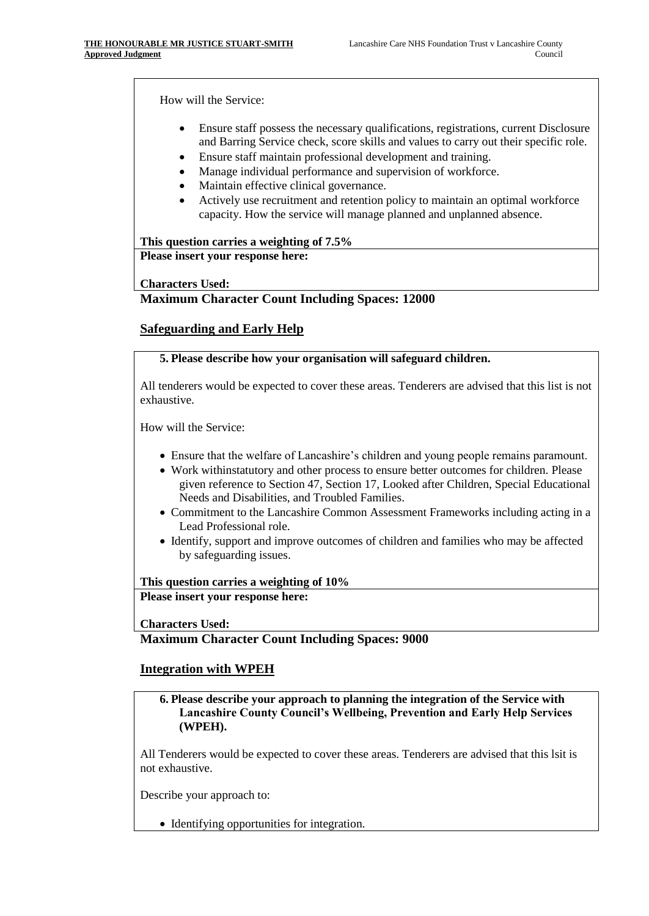How will the Service:

- Ensure staff possess the necessary qualifications, registrations, current Disclosure and Barring Service check, score skills and values to carry out their specific role.
- Ensure staff maintain professional development and training.
- Manage individual performance and supervision of workforce.
- Maintain effective clinical governance.
- Actively use recruitment and retention policy to maintain an optimal workforce capacity. How the service will manage planned and unplanned absence.

**This question carries a weighting of 7.5% Please insert your response here:**

**Characters Used:**

#### **Maximum Character Count Including Spaces: 12000**

## **Safeguarding and Early Help**

#### **5. Please describe how your organisation will safeguard children.**

All tenderers would be expected to cover these areas. Tenderers are advised that this list is not exhaustive.

How will the Service:

- Ensure that the welfare of Lancashire's children and young people remains paramount.
- Work withinstatutory and other process to ensure better outcomes for children. Please given reference to Section 47, Section 17, Looked after Children, Special Educational Needs and Disabilities, and Troubled Families.
- Commitment to the Lancashire Common Assessment Frameworks including acting in a Lead Professional role.
- Identify, support and improve outcomes of children and families who may be affected by safeguarding issues.

**This question carries a weighting of 10% Please insert your response here:**

**Characters Used:**

#### **Maximum Character Count Including Spaces: 9000**

#### **Integration with WPEH**

**6. Please describe your approach to planning the integration of the Service with Lancashire County Council's Wellbeing, Prevention and Early Help Services (WPEH).**

All Tenderers would be expected to cover these areas. Tenderers are advised that this lsit is not exhaustive.

Describe your approach to:

• Identifying opportunities for integration.